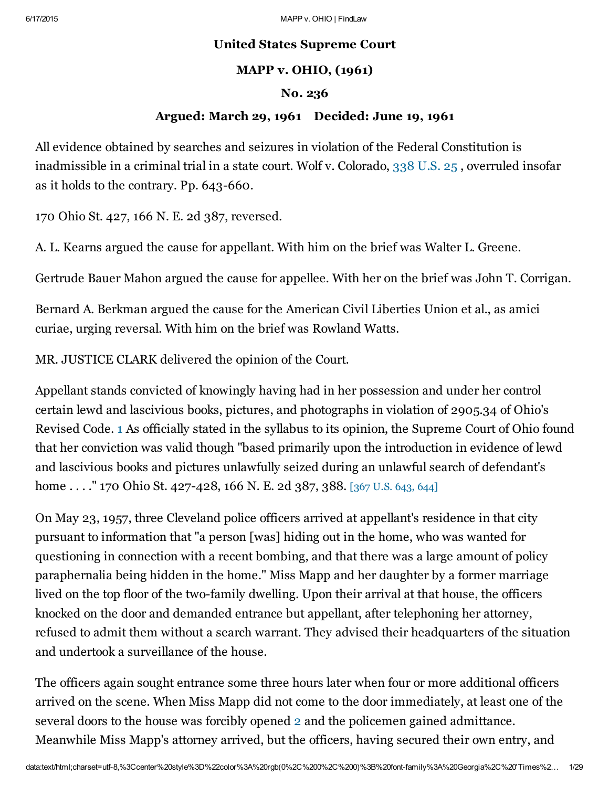# United States Supreme Court

# MAPP v. OHIO, (1961)

# No. 236

# Argued: March 29, 1961 Decided: June 19, 1961

All evidence obtained by searches and seizures in violation of the Federal Constitution is inadmissible in a criminal trial in a state court. Wolf v. Colorado, 338 [U.S.](http://caselaw.findlaw.com/us-supreme-court/338/25.html) 25 , overruled insofar as it holds to the contrary. Pp.  $643-660$ .

170 Ohio St. 427, 166 N. E. 2d 387, reversed.

A. L. Kearns argued the cause for appellant. With him on the brief was Walter L. Greene.

Gertrude Bauer Mahon argued the cause for appellee. With her on the brief was John T. Corrigan.

Bernard A. Berkman argued the cause for the American Civil Liberties Union et al., as amici curiae, urging reversal. With him on the brief was Rowland Watts.

MR. JUSTICE CLARK delivered the opinion of the Court.

Appellant stands convicted of knowingly having had in her possession and under her control certain lewd and lascivious books, pictures, and photographs in violation of 2905.34 of Ohio's Revised Code. [1](http://caselaw.findlaw.com/us-supreme-court/367/643.html#f1) As officially stated in the syllabus to its opinion, the Supreme Court of Ohio found that her conviction was valid though "based primarily upon the introduction in evidence of lewd and lascivious books and pictures unlawfully seized during an unlawful search of defendant's home ...." 170 Ohio St. 427-428, 166 N. E. 2d 387, 388. [367 U.S. 643, 644]

On May 23, 1957, three Cleveland police officers arrived at appellant's residence in that city pursuant to information that "a person [was] hiding out in the home, who was wanted for questioning in connection with a recent bombing, and that there was a large amount of policy paraphernalia being hidden in the home." Miss Mapp and her daughter by a former marriage lived on the top floor of the two-family dwelling. Upon their arrival at that house, the officers knocked on the door and demanded entrance but appellant, after telephoning her attorney, refused to admit them without a search warrant. They advised their headquarters of the situation and undertook a surveillance of the house.

The officers again sought entrance some three hours later when four or more additional officers arrived on the scene. When Miss Mapp did not come to the door immediately, at least one of the several doors to the house was forcibly opened [2](http://caselaw.findlaw.com/us-supreme-court/367/643.html#f2) and the policemen gained admittance. Meanwhile Miss Mapp's attorney arrived, but the officers, having secured their own entry, and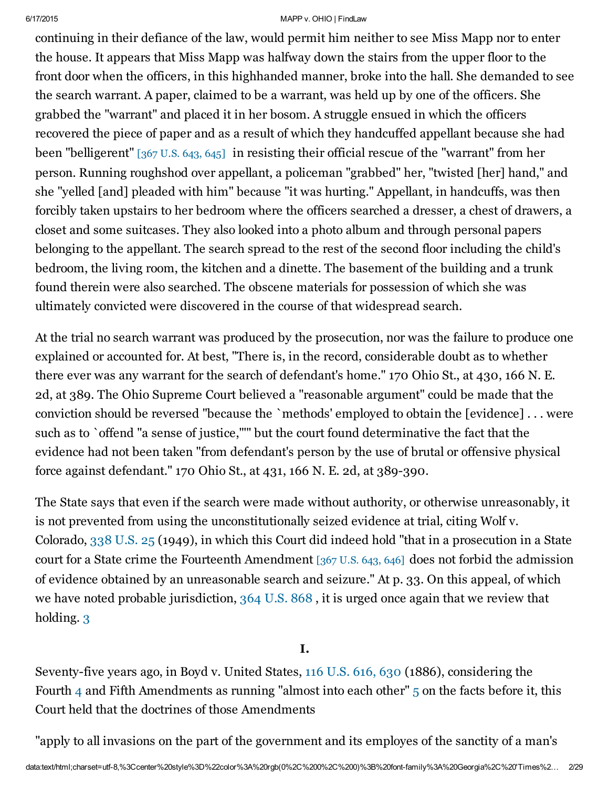continuing in their defiance of the law, would permit him neither to see Miss Mapp nor to enter the house. It appears that Miss Mapp was halfway down the stairs from the upper floor to the front door when the officers, in this highhanded manner, broke into the hall. She demanded to see the search warrant. A paper, claimed to be a warrant, was held up by one of the officers. She grabbed the "warrant" and placed it in her bosom. A struggle ensued in which the officers recovered the piece of paper and as a result of which they handcuffed appellant because she had been "belligerent" [367 U.S. 643, 645] in resisting their official rescue of the "warrant" from her person. Running roughshod over appellant, a policeman "grabbed" her, "twisted [her] hand," and she "yelled [and] pleaded with him" because "it was hurting." Appellant, in handcuffs, was then forcibly taken upstairs to her bedroom where the officers searched a dresser, a chest of drawers, a closet and some suitcases. They also looked into a photo album and through personal papers belonging to the appellant. The search spread to the rest of the second floor including the child's bedroom, the living room, the kitchen and a dinette. The basement of the building and a trunk found therein were also searched. The obscene materials for possession of which she was ultimately convicted were discovered in the course of that widespread search.

At the trial no search warrant was produced by the prosecution, nor was the failure to produce one explained or accounted for. At best, "There is, in the record, considerable doubt as to whether there ever was any warrant for the search of defendant's home." 170 Ohio St., at 430, 166 N. E. 2d, at 389. The Ohio Supreme Court believed a "reasonable argument" could be made that the conviction should be reversed "because the `methods' employed to obtain the [evidence] . . . were such as to `offend "a sense of justice,"'" but the court found determinative the fact that the evidence had not been taken "from defendant's person by the use of brutal or offensive physical force against defendant."  $170 \text{ Ohio St.}$ , at  $431, 166 \text{ N.}$  E. 2d, at  $389-390$ .

The State says that even if the search were made without authority, or otherwise unreasonably, it is not prevented from using the unconstitutionally seized evidence at trial, citing Wolf v. Colorado, 338 [U.S.](http://caselaw.findlaw.com/us-supreme-court/338/25.html) 25 (1949), in which this Court did indeed hold "that in a prosecution in a State court for a State crime the Fourteenth Amendment [367 U.S. 643, 646] does not forbid the admission of evidence obtained by an unreasonable search and seizure." At p. 33. On this appeal, of which we have noted probable jurisdiction, 364 [U.S.](http://caselaw.findlaw.com/us-supreme-court/364/868.html) 868 , it is urged once again that we review that holding. [3](http://caselaw.findlaw.com/us-supreme-court/367/643.html#f3)

# I.

Seventy-five years ago, in Boyd v. United States, 116 U.S. [616,](http://caselaw.findlaw.com/us-supreme-court/116/616.html#630) 630 (1886), considering the Fourth [4](http://caselaw.findlaw.com/us-supreme-court/367/643.html#f4) and Fifth Amendments as running "almost into each other" [5](http://caselaw.findlaw.com/us-supreme-court/367/643.html#f5) on the facts before it, this Court held that the doctrines of those Amendments

"apply to all invasions on the part of the government and its employes of the sanctity of a man's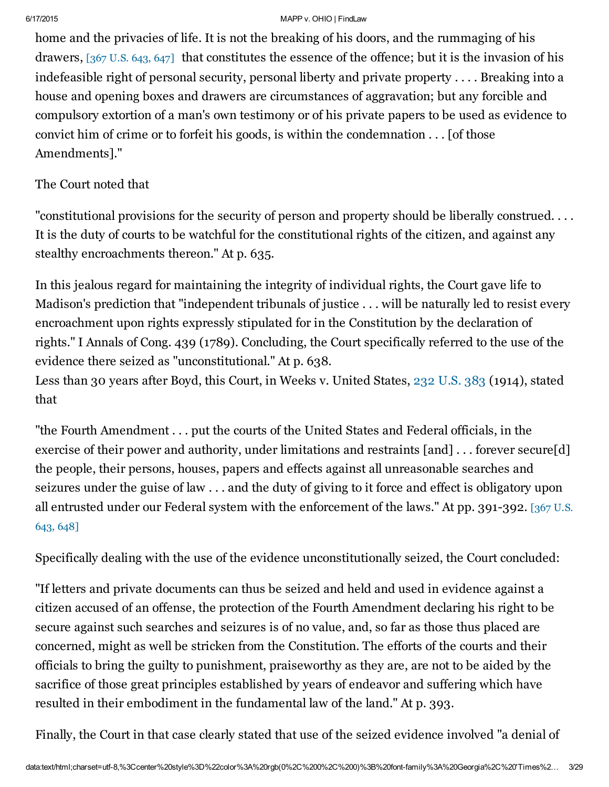home and the privacies of life. It is not the breaking of his doors, and the rummaging of his drawers, [367 U.S. 643, 647] that constitutes the essence of the offence; but it is the invasion of his indefeasible right of personal security, personal liberty and private property . . . . Breaking into a house and opening boxes and drawers are circumstances of aggravation; but any forcible and compulsory extortion of a man's own testimony or of his private papers to be used as evidence to convict him of crime or to forfeit his goods, is within the condemnation . . . [of those Amendments]."

# The Court noted that

"constitutional provisions for the security of person and property should be liberally construed. . . . It is the duty of courts to be watchful for the constitutional rights of the citizen, and against any stealthy encroachments thereon." At p. 635.

In this jealous regard for maintaining the integrity of individual rights, the Court gave life to Madison's prediction that "independent tribunals of justice . . . will be naturally led to resist every encroachment upon rights expressly stipulated for in the Constitution by the declaration of rights." I Annals of Cong. 439 (1789). Concluding, the Court specifically referred to the use of the evidence there seized as "unconstitutional." At p. 638. Less than 30 years after Boyd, this Court, in Weeks v. United States, 232 [U.S.](http://caselaw.findlaw.com/us-supreme-court/232/383.html) 383 (1914), stated that

"the Fourth Amendment . . . put the courts of the United States and Federal officials, in the exercise of their power and authority, under limitations and restraints [and] . . . forever secure[d] the people, their persons, houses, papers and effects against all unreasonable searches and seizures under the guise of law . . . and the duty of giving to it force and effect is obligatory upon all entrusted under our Federal system with the enforcement of the laws." At pp. 391-392. [367 U.S.] 643, 648]

Specifically dealing with the use of the evidence unconstitutionally seized, the Court concluded:

"If letters and private documents can thus be seized and held and used in evidence against a citizen accused of an offense, the protection of the Fourth Amendment declaring his right to be secure against such searches and seizures is of no value, and, so far as those thus placed are concerned, might as well be stricken from the Constitution. The efforts of the courts and their officials to bring the guilty to punishment, praiseworthy as they are, are not to be aided by the sacrifice of those great principles established by years of endeavor and suffering which have resulted in their embodiment in the fundamental law of the land." At p. 393.

Finally, the Court in that case clearly stated that use of the seized evidence involved "a denial of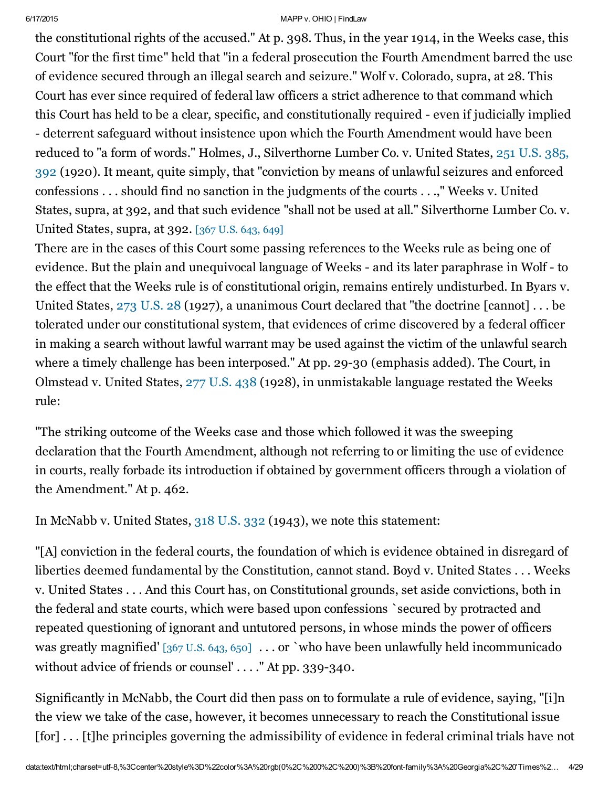the constitutional rights of the accused." At p. 398. Thus, in the year 1914, in the Weeks case, this Court "for the first time" held that "in a federal prosecution the Fourth Amendment barred the use of evidence secured through an illegal search and seizure." Wolf v. Colorado, supra, at 28. This Court has ever since required of federal law officers a strict adherence to that command which this Court has held to be a clear, specific, and constitutionally required - even if judicially implied deterrent safeguard without insistence upon which the Fourth Amendment would have been reduced to "a form of words." Holmes, J., [Silverthorne](http://caselaw.findlaw.com/us-supreme-court/251/385.html#392) Lumber Co. v. United States, 251 U.S. 385, 392 (1920). It meant, quite simply, that "conviction by means of unlawful seizures and enforced confessions . . . should find no sanction in the judgments of the courts . . .," Weeks v. United States, supra, at 392, and that such evidence "shall not be used at all." Silverthorne Lumber Co. v. United States, supra, at 392. [367 U.S. 643, 649]

There are in the cases of this Court some passing references to the Weeks rule as being one of evidence. But the plain and unequivocal language of Weeks - and its later paraphrase in Wolf - to the effect that the Weeks rule is of constitutional origin, remains entirely undisturbed. In Byars v. United States, 273 [U.S.](http://caselaw.findlaw.com/us-supreme-court/273/28.html) 28 (1927), a unanimous Court declared that "the doctrine [cannot] . . . be tolerated under our constitutional system, that evidences of crime discovered by a federal officer in making a search without lawful warrant may be used against the victim of the unlawful search where a timely challenge has been interposed." At pp. 29-30 (emphasis added). The Court, in Olmstead v. United States, 277 [U.S.](http://caselaw.findlaw.com/us-supreme-court/277/438.html) 438 (1928), in unmistakable language restated the Weeks rule:

"The striking outcome of the Weeks case and those which followed it was the sweeping declaration that the Fourth Amendment, although not referring to or limiting the use of evidence in courts, really forbade its introduction if obtained by government officers through a violation of the Amendment." At p. 462.

In McNabb v. United States, 318 [U.S.](http://caselaw.findlaw.com/us-supreme-court/318/332.html) 332 (1943), we note this statement:

"[A] conviction in the federal courts, the foundation of which is evidence obtained in disregard of liberties deemed fundamental by the Constitution, cannot stand. Boyd v. United States . . . Weeks v. United States . . . And this Court has, on Constitutional grounds, set aside convictions, both in the federal and state courts, which were based upon confessions `secured by protracted and repeated questioning of ignorant and untutored persons, in whose minds the power of officers was greatly magnified' [367 U.S. 643, 650] . . . or `who have been unlawfully held incommunicado without advice of friends or counsel'  $\dots$  " At pp. 339-340.

Significantly in McNabb, the Court did then pass on to formulate a rule of evidence, saying, "[i]n the view we take of the case, however, it becomes unnecessary to reach the Constitutional issue [for] . . . [t]he principles governing the admissibility of evidence in federal criminal trials have not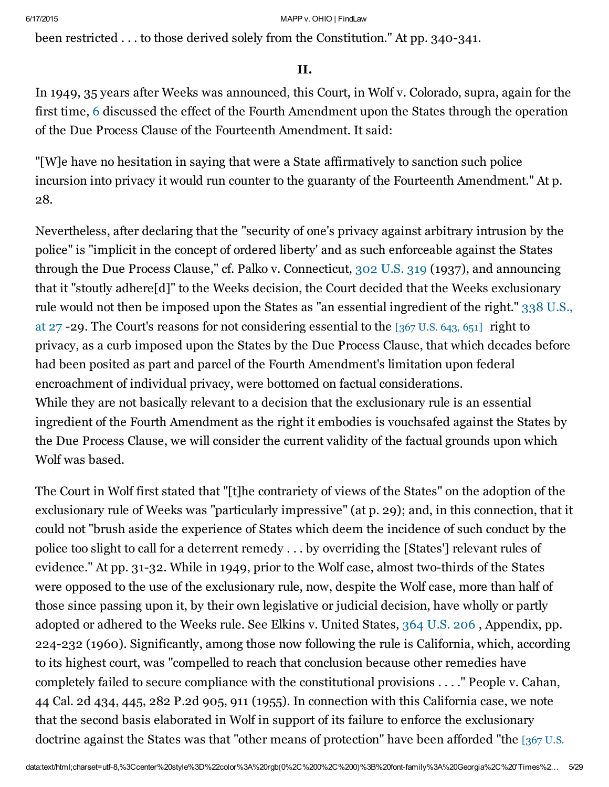been restricted . . . to those derived solely from the Constitution." At pp. 340-341.

# II.

In 1949, 35 years after Weeks was announced, this Court, in Wolf v. Colorado, supra, again for the first time, [6](http://caselaw.findlaw.com/us-supreme-court/367/643.html#f6) discussed the effect of the Fourth Amendment upon the States through the operation of the Due Process Clause of the Fourteenth Amendment. It said:

"[W]e have no hesitation in saying that were a State affirmatively to sanction such police incursion into privacy it would run counter to the guaranty of the Fourteenth Amendment." At p. 28.

Nevertheless, after declaring that the "security of one's privacy against arbitrary intrusion by the police" is "implicit in the concept of ordered liberty' and as such enforceable against the States through the Due Process Clause," cf. Palko v. Connecticut, 302 [U.S.](http://caselaw.findlaw.com/us-supreme-court/302/319.html) 319 (1937), and announcing that it "stoutly adhere[d]" to the Weeks decision, the Court decided that the Weeks exclusionary rule would not then be imposed upon the States as "an essential ingredient of the right." 338 U.S., at 27 29. The Court's reasons for not [considering](http://caselaw.findlaw.com/us-supreme-court/338/25.html#27) essential to the [367 U.S. 643, 651] right to privacy, as a curb imposed upon the States by the Due Process Clause, that which decades before had been posited as part and parcel of the Fourth Amendment's limitation upon federal encroachment of individual privacy, were bottomed on factual considerations. While they are not basically relevant to a decision that the exclusionary rule is an essential ingredient of the Fourth Amendment as the right it embodies is vouchsafed against the States by the Due Process Clause, we will consider the current validity of the factual grounds upon which Wolf was based.

The Court in Wolf first stated that "[t]he contrariety of views of the States" on the adoption of the exclusionary rule of Weeks was "particularly impressive" (at p. 29); and, in this connection, that it could not "brush aside the experience of States which deem the incidence of such conduct by the police too slight to call for a deterrent remedy . . . by overriding the [States'] relevant rules of evidence." At pp. 31-32. While in 1949, prior to the Wolf case, almost two-thirds of the States were opposed to the use of the exclusionary rule, now, despite the Wolf case, more than half of those since passing upon it, by their own legislative or judicial decision, have wholly or partly adopted or adhered to the Weeks rule. See Elkins v. United States, 364 [U.S.](http://caselaw.findlaw.com/us-supreme-court/364/206.html) 206 , Appendix, pp. 224232 (1960). Significantly, among those now following the rule is California, which, according to its highest court, was "compelled to reach that conclusion because other remedies have completely failed to secure compliance with the constitutional provisions . . . ." People v. Cahan, 44 Cal. 2d 434, 445, 282 P.2d 905, 911 (1955). In connection with this California case, we note that the second basis elaborated in Wolf in support of its failure to enforce the exclusionary doctrine against the States was that "other means of protection" have been afforded "the [367 U.S.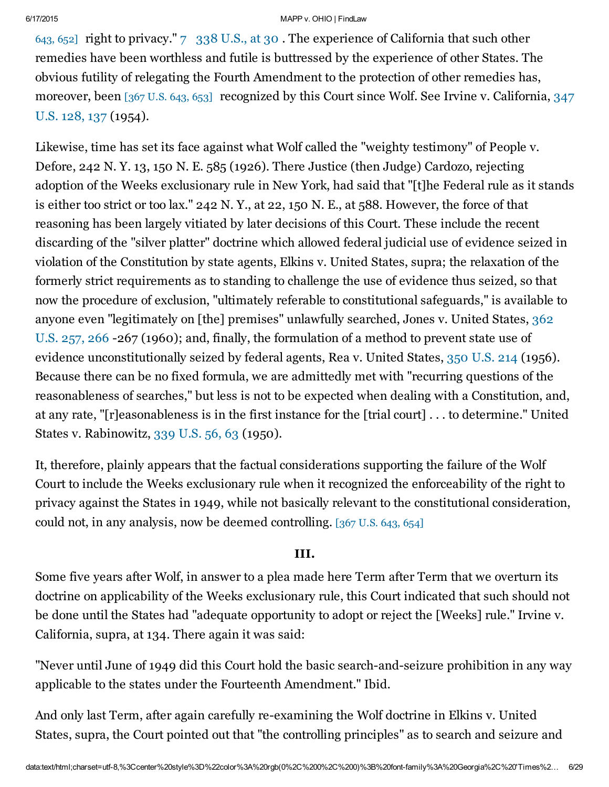643, 652] right to privacy." [7](http://caselaw.findlaw.com/us-supreme-court/367/643.html#f7) 338 [U.S.,](http://caselaw.findlaw.com/us-supreme-court/338/25.html#30) at 30 . The experience of California that such other remedies have been worthless and futile is buttressed by the experience of other States. The obvious futility of relegating the Fourth Amendment to the protection of other remedies has, moreover, been [367 U.S. 643, 653] [recognized](http://caselaw.findlaw.com/us-supreme-court/347/128.html#137) by this Court since Wolf. See Irvine v. California, 347 U.S. 128, 137 (1954).

Likewise, time has set its face against what Wolf called the "weighty testimony" of People v. Defore, 242 N. Y. 13, 150 N. E. 585 (1926). There Justice (then Judge) Cardozo, rejecting adoption of the Weeks exclusionary rule in New York, had said that "[t]he Federal rule as it stands is either too strict or too lax." 242 N. Y., at 22, 150 N. E., at 588. However, the force of that reasoning has been largely vitiated by later decisions of this Court. These include the recent discarding of the "silver platter" doctrine which allowed federal judicial use of evidence seized in violation of the Constitution by state agents, Elkins v. United States, supra; the relaxation of the formerly strict requirements as to standing to challenge the use of evidence thus seized, so that now the procedure of exclusion, "ultimately referable to constitutional safeguards," is available to anyone even ["legitimately](http://caselaw.findlaw.com/us-supreme-court/362/257.html#266) on [the] premises" unlawfully searched, Jones v. United States, 362 U.S. 257, 266 -267 (1960); and, finally, the formulation of a method to prevent state use of evidence unconstitutionally seized by federal agents, Rea v. United States, 350 [U.S.](http://caselaw.findlaw.com/us-supreme-court/350/214.html) 214 (1956). Because there can be no fixed formula, we are admittedly met with "recurring questions of the reasonableness of searches," but less is not to be expected when dealing with a Constitution, and, at any rate, "[r]easonableness is in the first instance for the [trial court] . . . to determine." United States v. Rabinowitz, 339 [U.S.](http://caselaw.findlaw.com/us-supreme-court/339/56.html#63) 56, 63 (1950).

It, therefore, plainly appears that the factual considerations supporting the failure of the Wolf Court to include the Weeks exclusionary rule when it recognized the enforceability of the right to privacy against the States in 1949, while not basically relevant to the constitutional consideration, could not, in any analysis, now be deemed controlling. [367 U.S. 643, 654]

# III.

Some five years after Wolf, in answer to a plea made here Term after Term that we overturn its doctrine on applicability of the Weeks exclusionary rule, this Court indicated that such should not be done until the States had "adequate opportunity to adopt or reject the [Weeks] rule." Irvine v. California, supra, at 134. There again it was said:

"Never until June of 1949 did this Court hold the basic search-and-seizure prohibition in any way applicable to the states under the Fourteenth Amendment." Ibid.

And only last Term, after again carefully re-examining the Wolf doctrine in Elkins v. United States, supra, the Court pointed out that "the controlling principles" as to search and seizure and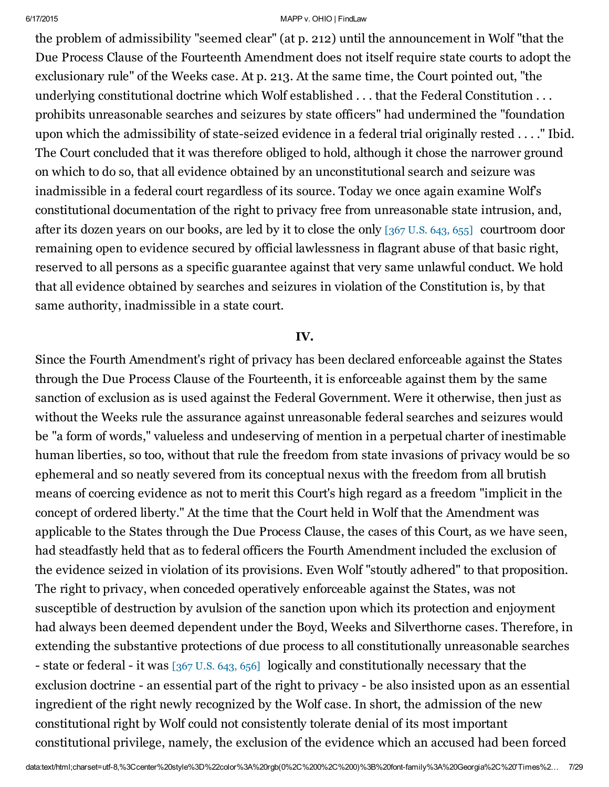the problem of admissibility "seemed clear" (at p. 212) until the announcement in Wolf "that the Due Process Clause of the Fourteenth Amendment does not itself require state courts to adopt the exclusionary rule" of the Weeks case. At p. 213. At the same time, the Court pointed out, "the underlying constitutional doctrine which Wolf established . . . that the Federal Constitution . . . prohibits unreasonable searches and seizures by state officers" had undermined the "foundation upon which the admissibility of state-seized evidence in a federal trial originally rested  $\dots$ ." Ibid. The Court concluded that it was therefore obliged to hold, although it chose the narrower ground on which to do so, that all evidence obtained by an unconstitutional search and seizure was inadmissible in a federal court regardless of its source. Today we once again examine Wolf's constitutional documentation of the right to privacy free from unreasonable state intrusion, and, after its dozen years on our books, are led by it to close the only [367 U.S. 643, 655] courtroom door remaining open to evidence secured by official lawlessness in flagrant abuse of that basic right, reserved to all persons as a specific guarantee against that very same unlawful conduct. We hold that all evidence obtained by searches and seizures in violation of the Constitution is, by that same authority, inadmissible in a state court.

# IV.

Since the Fourth Amendment's right of privacy has been declared enforceable against the States through the Due Process Clause of the Fourteenth, it is enforceable against them by the same sanction of exclusion as is used against the Federal Government. Were it otherwise, then just as without the Weeks rule the assurance against unreasonable federal searches and seizures would be "a form of words," valueless and undeserving of mention in a perpetual charter of inestimable human liberties, so too, without that rule the freedom from state invasions of privacy would be so ephemeral and so neatly severed from its conceptual nexus with the freedom from all brutish means of coercing evidence as not to merit this Court's high regard as a freedom "implicit in the concept of ordered liberty." At the time that the Court held in Wolf that the Amendment was applicable to the States through the Due Process Clause, the cases of this Court, as we have seen, had steadfastly held that as to federal officers the Fourth Amendment included the exclusion of the evidence seized in violation of its provisions. Even Wolf "stoutly adhered" to that proposition. The right to privacy, when conceded operatively enforceable against the States, was not susceptible of destruction by avulsion of the sanction upon which its protection and enjoyment had always been deemed dependent under the Boyd, Weeks and Silverthorne cases. Therefore, in extending the substantive protections of due process to all constitutionally unreasonable searches - state or federal - it was  $[367 \text{ U.S. } 643, 656]$  logically and constitutionally necessary that the exclusion doctrine - an essential part of the right to privacy - be also insisted upon as an essential ingredient of the right newly recognized by the Wolf case. In short, the admission of the new constitutional right by Wolf could not consistently tolerate denial of its most important constitutional privilege, namely, the exclusion of the evidence which an accused had been forced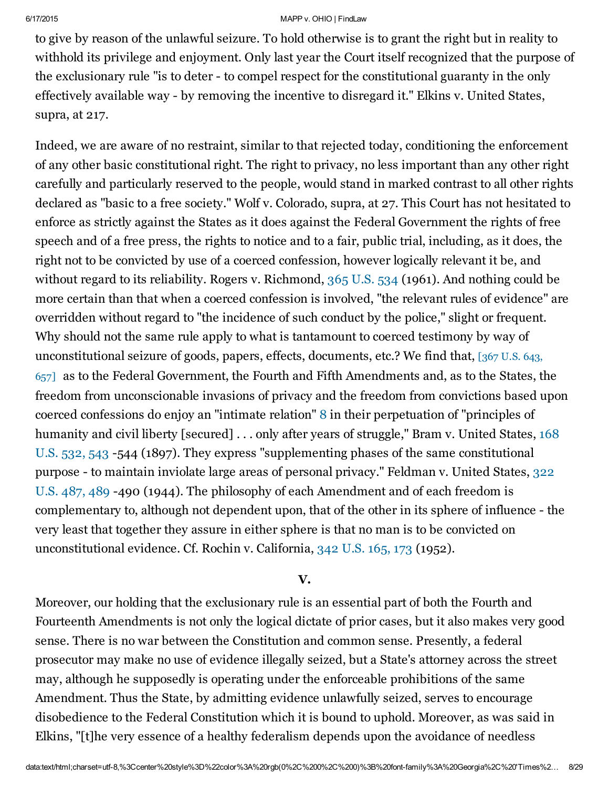to give by reason of the unlawful seizure. To hold otherwise is to grant the right but in reality to withhold its privilege and enjoyment. Only last year the Court itself recognized that the purpose of the exclusionary rule "is to deter - to compel respect for the constitutional guaranty in the only effectively available way - by removing the incentive to disregard it." Elkins v. United States, supra, at 217.

Indeed, we are aware of no restraint, similar to that rejected today, conditioning the enforcement of any other basic constitutional right. The right to privacy, no less important than any other right carefully and particularly reserved to the people, would stand in marked contrast to all other rights declared as "basic to a free society." Wolf v. Colorado, supra, at 27. This Court has not hesitated to enforce as strictly against the States as it does against the Federal Government the rights of free speech and of a free press, the rights to notice and to a fair, public trial, including, as it does, the right not to be convicted by use of a coerced confession, however logically relevant it be, and without regard to its reliability. Rogers v. Richmond, 365 [U.S.](http://caselaw.findlaw.com/us-supreme-court/365/534.html) 534 (1961). And nothing could be more certain than that when a coerced confession is involved, "the relevant rules of evidence" are overridden without regard to "the incidence of such conduct by the police," slight or frequent. Why should not the same rule apply to what is tantamount to coerced testimony by way of unconstitutional seizure of goods, papers, effects, documents, etc.? We find that, [367 U.S. 643, 657] as to the Federal Government, the Fourth and Fifth Amendments and, as to the States, the freedom from unconscionable invasions of privacy and the freedom from convictions based upon coerced confessions do enjoy an "intimate relation" [8](http://caselaw.findlaw.com/us-supreme-court/367/643.html#f8) in their perpetuation of "principles of humanity and civil liberty [secured] . . . only after years of struggle," Bram v. United States, 168 U.S. 532, 543 -544 (1897). They express ["supplementing](http://caselaw.findlaw.com/us-supreme-court/168/532.html#543) phases of the same constitutional purpose - to maintain inviolate large areas of personal privacy." Feldman v. United States, 322 U.S. 487, 489 -490 (1944). The philosophy of each [Amendment](http://caselaw.findlaw.com/us-supreme-court/322/487.html#489) and of each freedom is complementary to, although not dependent upon, that of the other in its sphere of influence - the very least that together they assure in either sphere is that no man is to be convicted on unconstitutional evidence. Cf. Rochin v. California, 342 [U.S.](http://caselaw.findlaw.com/us-supreme-court/342/165.html#173) 165, 173 (1952).

# V.

Moreover, our holding that the exclusionary rule is an essential part of both the Fourth and Fourteenth Amendments is not only the logical dictate of prior cases, but it also makes very good sense. There is no war between the Constitution and common sense. Presently, a federal prosecutor may make no use of evidence illegally seized, but a State's attorney across the street may, although he supposedly is operating under the enforceable prohibitions of the same Amendment. Thus the State, by admitting evidence unlawfully seized, serves to encourage disobedience to the Federal Constitution which it is bound to uphold. Moreover, as was said in Elkins, "[t]he very essence of a healthy federalism depends upon the avoidance of needless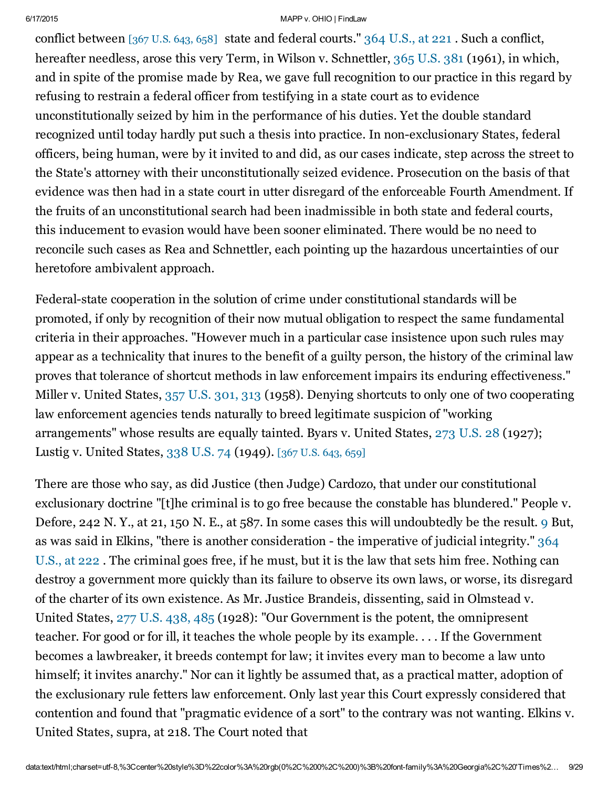conflict between [367 U.S. 643, 658] state and federal courts." 364 [U.S.,](http://caselaw.findlaw.com/us-supreme-court/364/206.html#221) at 221 . Such a conflict, hereafter needless, arose this very Term, in Wilson v. Schnettler, 365 [U.S.](http://caselaw.findlaw.com/us-supreme-court/365/381.html) 381 (1961), in which, and in spite of the promise made by Rea, we gave full recognition to our practice in this regard by refusing to restrain a federal officer from testifying in a state court as to evidence unconstitutionally seized by him in the performance of his duties. Yet the double standard recognized until today hardly put such a thesis into practice. In non-exclusionary States, federal officers, being human, were by it invited to and did, as our cases indicate, step across the street to the State's attorney with their unconstitutionally seized evidence. Prosecution on the basis of that evidence was then had in a state court in utter disregard of the enforceable Fourth Amendment. If the fruits of an unconstitutional search had been inadmissible in both state and federal courts, this inducement to evasion would have been sooner eliminated. There would be no need to reconcile such cases as Rea and Schnettler, each pointing up the hazardous uncertainties of our heretofore ambivalent approach.

Federal-state cooperation in the solution of crime under constitutional standards will be promoted, if only by recognition of their now mutual obligation to respect the same fundamental criteria in their approaches. "However much in a particular case insistence upon such rules may appear as a technicality that inures to the benefit of a guilty person, the history of the criminal law proves that tolerance of shortcut methods in law enforcement impairs its enduring effectiveness." Miller v. United States, 357 U.S. [301,](http://caselaw.findlaw.com/us-supreme-court/357/301.html#313) 313 (1958). Denying shortcuts to only one of two cooperating law enforcement agencies tends naturally to breed legitimate suspicion of "working arrangements" whose results are equally tainted. Byars v. United States, 273 [U.S.](http://caselaw.findlaw.com/us-supreme-court/273/28.html) 28 (1927); Lustig v. United States, 338 [U.S.](http://caselaw.findlaw.com/us-supreme-court/338/74.html) 74 (1949). [367 U.S. 643, 659]

There are those who say, as did Justice (then Judge) Cardozo, that under our constitutional exclusionary doctrine "[t]he criminal is to go free because the constable has blundered." People v. Defore, 242 N. Y., at 21, 150 N. E., at 587. In some cases this will undoubtedly be the result. [9](http://caselaw.findlaw.com/us-supreme-court/367/643.html#f9) But, as was said in Elkins, "there is another [consideration](http://caselaw.findlaw.com/us-supreme-court/364/206.html#222) - the imperative of judicial integrity." 364 U.S., at 222 . The criminal goes free, if he must, but it is the law that sets him free. Nothing can destroy a government more quickly than its failure to observe its own laws, or worse, its disregard of the charter of its own existence. As Mr. Justice Brandeis, dissenting, said in Olmstead v. United States, 277 U.S. [438,](http://caselaw.findlaw.com/us-supreme-court/277/438.html#485) 485 (1928): "Our Government is the potent, the omnipresent teacher. For good or for ill, it teaches the whole people by its example. . . . If the Government becomes a lawbreaker, it breeds contempt for law; it invites every man to become a law unto himself; it invites anarchy." Nor can it lightly be assumed that, as a practical matter, adoption of the exclusionary rule fetters law enforcement. Only last year this Court expressly considered that contention and found that "pragmatic evidence of a sort" to the contrary was not wanting. Elkins v. United States, supra, at 218. The Court noted that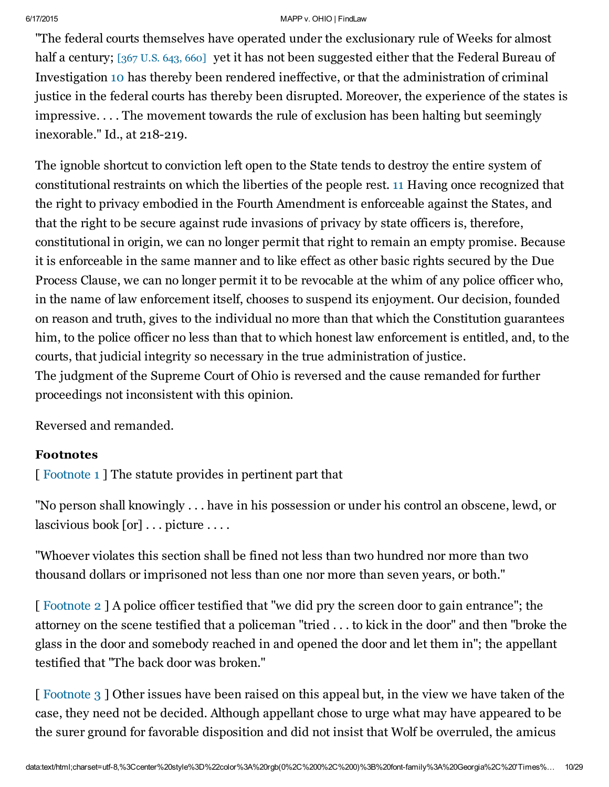"The federal courts themselves have operated under the exclusionary rule of Weeks for almost half a century; [367 U.S. 643, 660] yet it has not been suggested either that the Federal Bureau of Investigation [10](http://caselaw.findlaw.com/us-supreme-court/367/643.html#f10) has thereby been rendered ineffective, or that the administration of criminal justice in the federal courts has thereby been disrupted. Moreover, the experience of the states is impressive. . . . The movement towards the rule of exclusion has been halting but seemingly inexorable." Id., at 218-219.

The ignoble shortcut to conviction left open to the State tends to destroy the entire system of constitutional restraints on which the liberties of the people rest. [11](http://caselaw.findlaw.com/us-supreme-court/367/643.html#f11) Having once recognized that the right to privacy embodied in the Fourth Amendment is enforceable against the States, and that the right to be secure against rude invasions of privacy by state officers is, therefore, constitutional in origin, we can no longer permit that right to remain an empty promise. Because it is enforceable in the same manner and to like effect as other basic rights secured by the Due Process Clause, we can no longer permit it to be revocable at the whim of any police officer who, in the name of law enforcement itself, chooses to suspend its enjoyment. Our decision, founded on reason and truth, gives to the individual no more than that which the Constitution guarantees him, to the police officer no less than that to which honest law enforcement is entitled, and, to the courts, that judicial integrity so necessary in the true administration of justice. The judgment of the Supreme Court of Ohio is reversed and the cause remanded for further proceedings not inconsistent with this opinion.

Reversed and remanded.

# Footnotes

[ [Footnote](http://caselaw.findlaw.com/us-supreme-court/367/643.html#t1) 1 ] The statute provides in pertinent part that

"No person shall knowingly . . . have in his possession or under his control an obscene, lewd, or lascivious book [or] . . . picture . . . .

"Whoever violates this section shall be fined not less than two hundred nor more than two thousand dollars or imprisoned not less than one nor more than seven years, or both."

[ [Footnote](http://caselaw.findlaw.com/us-supreme-court/367/643.html#t2) 2 ] A police officer testified that "we did pry the screen door to gain entrance"; the attorney on the scene testified that a policeman "tried . . . to kick in the door" and then "broke the glass in the door and somebody reached in and opened the door and let them in"; the appellant testified that "The back door was broken."

[ [Footnote](http://caselaw.findlaw.com/us-supreme-court/367/643.html#t3) 3 ] Other issues have been raised on this appeal but, in the view we have taken of the case, they need not be decided. Although appellant chose to urge what may have appeared to be the surer ground for favorable disposition and did not insist that Wolf be overruled, the amicus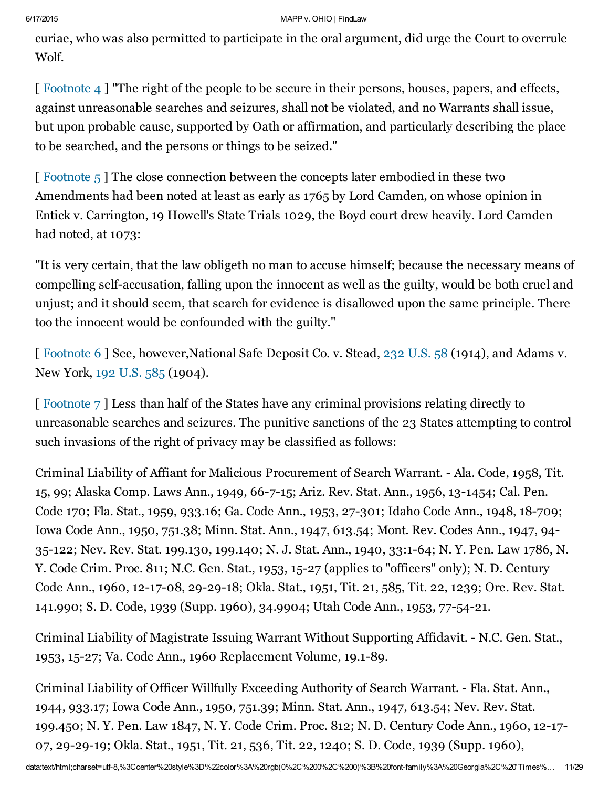curiae, who was also permitted to participate in the oral argument, did urge the Court to overrule Wolf.

[ [Footnote](http://caselaw.findlaw.com/us-supreme-court/367/643.html#t4) 4 ] "The right of the people to be secure in their persons, houses, papers, and effects, against unreasonable searches and seizures, shall not be violated, and no Warrants shall issue, but upon probable cause, supported by Oath or affirmation, and particularly describing the place to be searched, and the persons or things to be seized."

[ [Footnote](http://caselaw.findlaw.com/us-supreme-court/367/643.html#t5) 5 ] The close connection between the concepts later embodied in these two Amendments had been noted at least as early as 1765 by Lord Camden, on whose opinion in Entick v. Carrington, 19 Howell's State Trials 1029, the Boyd court drew heavily. Lord Camden had noted, at 1073:

"It is very certain, that the law obligeth no man to accuse himself; because the necessary means of compelling self-accusation, falling upon the innocent as well as the guilty, would be both cruel and unjust; and it should seem, that search for evidence is disallowed upon the same principle. There too the innocent would be confounded with the guilty."

[ [Footnote](http://caselaw.findlaw.com/us-supreme-court/367/643.html#t6) 6 ] See, however, National Safe Deposit Co. v. Stead, 232 [U.S.](http://caselaw.findlaw.com/us-supreme-court/232/58.html) 58 (1914), and Adams v. New York, 192 [U.S.](http://caselaw.findlaw.com/us-supreme-court/192/585.html) 585 (1904).

[ [Footnote](http://caselaw.findlaw.com/us-supreme-court/367/643.html#t7) 7 ] Less than half of the States have any criminal provisions relating directly to unreasonable searches and seizures. The punitive sanctions of the 23 States attempting to control such invasions of the right of privacy may be classified as follows:

Criminal Liability of Affiant for Malicious Procurement of Search Warrant. Ala. Code, 1958, Tit. 15, 99; Alaska Comp. Laws Ann., 1949, 66-7-15; Ariz. Rev. Stat. Ann., 1956, 13-1454; Cal. Pen. Code 170; Fla. Stat., 1959, 933.16; Ga. Code Ann., 1953, 27-301; Idaho Code Ann., 1948, 18-709; Iowa Code Ann., 1950, 751.38; Minn. Stat. Ann., 1947, 613.54; Mont. Rev. Codes Ann., 1947, 94 35122; Nev. Rev. Stat. 199.130, 199.140; N. J. Stat. Ann., 1940, 33:164; N. Y. Pen. Law 1786, N. Y. Code Crim. Proc. 811; N.C. Gen. Stat., 1953, 15-27 (applies to "officers" only); N. D. Century Code Ann., 1960, 12-17-08, 29-29-18; Okla. Stat., 1951, Tit. 21, 585, Tit. 22, 1239; Ore. Rev. Stat. 141.990; S. D. Code, 1939 (Supp. 1960), 34.9904; Utah Code Ann., 1953, 77-54-21.

Criminal Liability of Magistrate Issuing Warrant Without Supporting Affidavit. N.C. Gen. Stat., 1953, 1527; Va. Code Ann., 1960 Replacement Volume, 19.189.

Criminal Liability of Officer Willfully Exceeding Authority of Search Warrant. Fla. Stat. Ann., 1944, 933.17; Iowa Code Ann., 1950, 751.39; Minn. Stat. Ann., 1947, 613.54; Nev. Rev. Stat. 199.450; N. Y. Pen. Law 1847, N. Y. Code Crim. Proc. 812; N. D. Century Code Ann., 1960, 1217 07, 29-29-19; Okla. Stat., 1951, Tit. 21, 536, Tit. 22, 1240; S. D. Code, 1939 (Supp. 1960),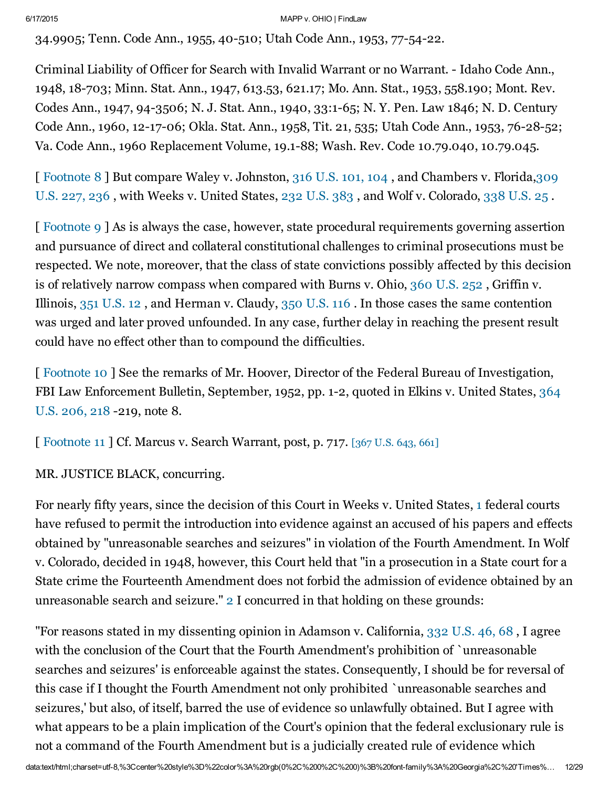34.9905; Tenn. Code Ann., 1955, 40-510; Utah Code Ann., 1953, 77-54-22.

Criminal Liability of Officer for Search with Invalid Warrant or no Warrant. Idaho Code Ann., 1948, 18-703; Minn. Stat. Ann., 1947, 613.53, 621.17; Mo. Ann. Stat., 1953, 558.190; Mont. Rev. Codes Ann., 1947, 94-3506; N. J. Stat. Ann., 1940, 33:1-65; N. Y. Pen. Law 1846; N. D. Century Code Ann., 1960, 12-17-06; Okla. Stat. Ann., 1958, Tit. 21, 535; Utah Code Ann., 1953, 76-28-52; Va. Code Ann., 1960 Replacement Volume, 19.1-88; Wash. Rev. Code 10.79.040, 10.79.045.

[ [Footnote](http://caselaw.findlaw.com/us-supreme-court/367/643.html#t8) 8 ] But compare Waley v. Johnston, 316 [U.S.](http://caselaw.findlaw.com/us-supreme-court/316/101.html#104) 101, 104, and Chambers v. Florida, 309 U.S. 227, 236 , with Weeks v. United States, 232 [U.S.](http://caselaw.findlaw.com/us-supreme-court/232/383.html) 383 , and Wolf v. Colorado, 338 [U.S.](http://caselaw.findlaw.com/us-supreme-court/338/25.html) 25 .

[ [Footnote](http://caselaw.findlaw.com/us-supreme-court/367/643.html#t9) 9 ] As is always the case, however, state procedural requirements governing assertion and pursuance of direct and collateral constitutional challenges to criminal prosecutions must be respected. We note, moreover, that the class of state convictions possibly affected by this decision is of relatively narrow compass when compared with Burns v. Ohio, 360 [U.S.](http://caselaw.findlaw.com/us-supreme-court/360/252.html) 252 , Griffin v. Illinois, 351 [U.S.](http://caselaw.findlaw.com/us-supreme-court/351/12.html) 12 , and Herman v. Claudy, 350 [U.S.](http://caselaw.findlaw.com/us-supreme-court/350/116.html) 116 . In those cases the same contention was urged and later proved unfounded. In any case, further delay in reaching the present result could have no effect other than to compound the difficulties.

[ [Footnote](http://caselaw.findlaw.com/us-supreme-court/367/643.html#t10) 10 ] See the remarks of Mr. Hoover, Director of the Federal Bureau of Investigation, FBI Law [Enforcement](http://caselaw.findlaw.com/us-supreme-court/364/206.html#218) Bulletin, September, 1952, pp. 1-2, quoted in Elkins v. United States, 364 U.S. 206, 218 -219, note 8.

[ [Footnote](http://caselaw.findlaw.com/us-supreme-court/367/643.html#t11) 11 ] Cf. Marcus v. Search Warrant, post, p. 717. [367 U.S. 643, 661]

MR. JUSTICE BLACK, concurring.

For nearly fifty years, since the decision of this Court in Weeks v. United States, [1](http://caselaw.findlaw.com/us-supreme-court/367/643.html#f1) federal courts have refused to permit the introduction into evidence against an accused of his papers and effects obtained by "unreasonable searches and seizures" in violation of the Fourth Amendment. In Wolf v. Colorado, decided in 1948, however, this Court held that "in a prosecution in a State court for a State crime the Fourteenth Amendment does not forbid the admission of evidence obtained by an unreasonable search and seizure." [2](http://caselaw.findlaw.com/us-supreme-court/367/643.html#f2) I concurred in that holding on these grounds:

"For reasons stated in my dissenting opinion in Adamson v. California, 332 [U.S.](http://caselaw.findlaw.com/us-supreme-court/332/46.html#68) 46, 68 , I agree with the conclusion of the Court that the Fourth Amendment's prohibition of `unreasonable searches and seizures' is enforceable against the states. Consequently, I should be for reversal of this case if I thought the Fourth Amendment not only prohibited `unreasonable searches and seizures,' but also, of itself, barred the use of evidence so unlawfully obtained. But I agree with what appears to be a plain implication of the Court's opinion that the federal exclusionary rule is not a command of the Fourth Amendment but is a judicially created rule of evidence which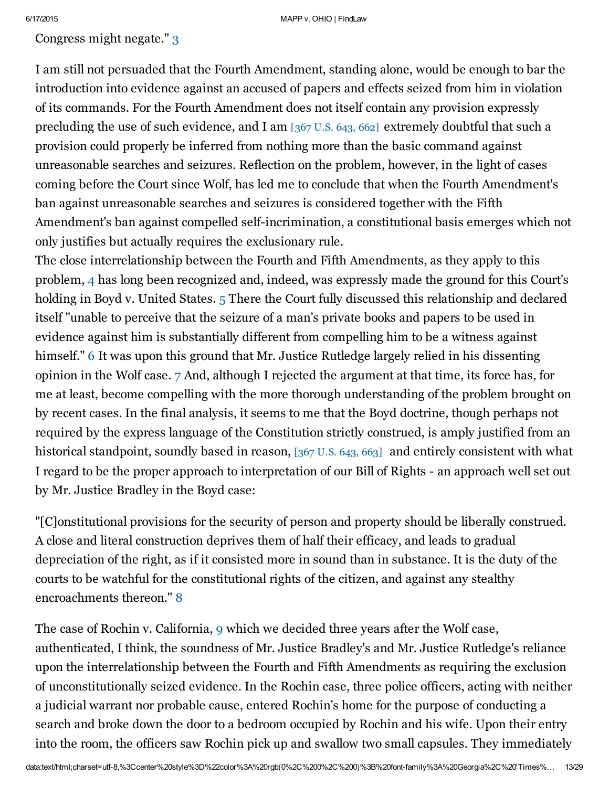Congress might negate." [3](http://caselaw.findlaw.com/us-supreme-court/367/643.html#f3)

I am still not persuaded that the Fourth Amendment, standing alone, would be enough to bar the introduction into evidence against an accused of papers and effects seized from him in violation of its commands. For the Fourth Amendment does not itself contain any provision expressly precluding the use of such evidence, and I am [367 U.S. 643, 662] extremely doubtful that such a provision could properly be inferred from nothing more than the basic command against unreasonable searches and seizures. Reflection on the problem, however, in the light of cases coming before the Court since Wolf, has led me to conclude that when the Fourth Amendment's ban against unreasonable searches and seizures is considered together with the Fifth Amendment's ban against compelled self-incrimination, a constitutional basis emerges which not only justifies but actually requires the exclusionary rule.

The close interrelationship between the Fourth and Fifth Amendments, as they apply to this problem, [4](http://caselaw.findlaw.com/us-supreme-court/367/643.html#f4) has long been recognized and, indeed, was expressly made the ground for this Court's holding in Boyd v. United States. [5](http://caselaw.findlaw.com/us-supreme-court/367/643.html#f5) There the Court fully discussed this relationship and declared itself "unable to perceive that the seizure of a man's private books and papers to be used in evidence against him is substantially different from compelling him to be a witness against himself." [6](http://caselaw.findlaw.com/us-supreme-court/367/643.html#fff6) It was upon this ground that Mr. Justice Rutledge largely relied in his dissenting opinion in the Wolf case. [7](http://caselaw.findlaw.com/us-supreme-court/367/643.html#fff7) And, although I rejected the argument at that time, its force has, for me at least, become compelling with the more thorough understanding of the problem brought on by recent cases. In the final analysis, it seems to me that the Boyd doctrine, though perhaps not required by the express language of the Constitution strictly construed, is amply justified from an historical standpoint, soundly based in reason, [367 U.S. 643, 663] and entirely consistent with what I regard to be the proper approach to interpretation of our Bill of Rights - an approach well set out by Mr. Justice Bradley in the Boyd case:

"[C]onstitutional provisions for the security of person and property should be liberally construed. A close and literal construction deprives them of half their efficacy, and leads to gradual depreciation of the right, as if it consisted more in sound than in substance. It is the duty of the courts to be watchful for the constitutional rights of the citizen, and against any stealthy encroachments thereon." [8](http://caselaw.findlaw.com/us-supreme-court/367/643.html#fff8)

The case of Rochin v. California, [9](http://caselaw.findlaw.com/us-supreme-court/367/643.html#fff9) which we decided three years after the Wolf case, authenticated, I think, the soundness of Mr. Justice Bradley's and Mr. Justice Rutledge's reliance upon the interrelationship between the Fourth and Fifth Amendments as requiring the exclusion of unconstitutionally seized evidence. In the Rochin case, three police officers, acting with neither a judicial warrant nor probable cause, entered Rochin's home for the purpose of conducting a search and broke down the door to a bedroom occupied by Rochin and his wife. Upon their entry into the room, the officers saw Rochin pick up and swallow two small capsules. They immediately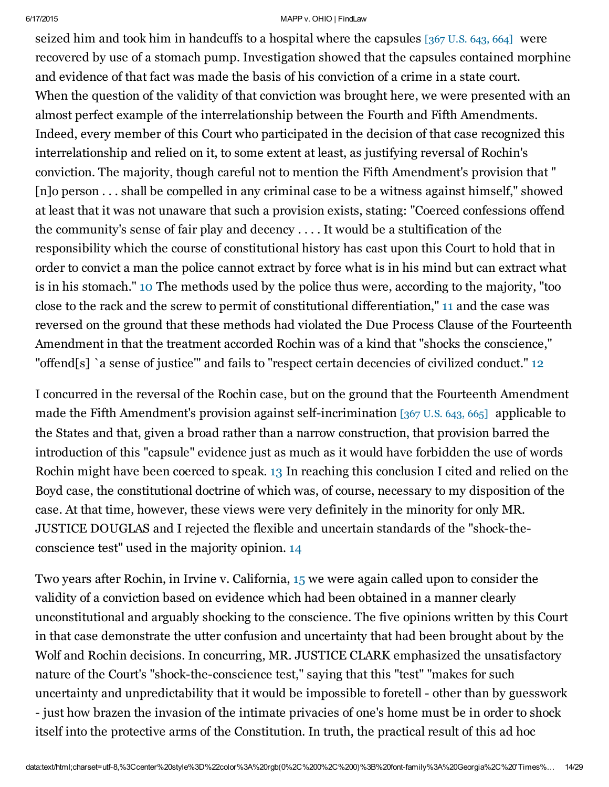seized him and took him in handcuffs to a hospital where the capsules  $[367 \text{ U.S. } 643, 664]$  were recovered by use of a stomach pump. Investigation showed that the capsules contained morphine and evidence of that fact was made the basis of his conviction of a crime in a state court. When the question of the validity of that conviction was brought here, we were presented with an almost perfect example of the interrelationship between the Fourth and Fifth Amendments. Indeed, every member of this Court who participated in the decision of that case recognized this interrelationship and relied on it, to some extent at least, as justifying reversal of Rochin's conviction. The majority, though careful not to mention the Fifth Amendment's provision that " [n]o person . . . shall be compelled in any criminal case to be a witness against himself," showed at least that it was not unaware that such a provision exists, stating: "Coerced confessions offend the community's sense of fair play and decency . . . . It would be a stultification of the responsibility which the course of constitutional history has cast upon this Court to hold that in order to convict a man the police cannot extract by force what is in his mind but can extract what is in his stomach." [10](http://caselaw.findlaw.com/us-supreme-court/367/643.html#fff10) The methods used by the police thus were, according to the majority, "too close to the rack and the screw to permit of constitutional differentiation," [11](http://caselaw.findlaw.com/us-supreme-court/367/643.html#fff11) and the case was reversed on the ground that these methods had violated the Due Process Clause of the Fourteenth Amendment in that the treatment accorded Rochin was of a kind that "shocks the conscience," "offend[s] `a sense of justice'" and fails to "respect certain decencies of civilized conduct." [12](http://caselaw.findlaw.com/us-supreme-court/367/643.html#f12)

I concurred in the reversal of the Rochin case, but on the ground that the Fourteenth Amendment made the Fifth Amendment's provision against self-incrimination  $[367 \text{ U.S. } 643, 665]$  applicable to the States and that, given a broad rather than a narrow construction, that provision barred the introduction of this "capsule" evidence just as much as it would have forbidden the use of words Rochin might have been coerced to speak. [13](http://caselaw.findlaw.com/us-supreme-court/367/643.html#f13) In reaching this conclusion I cited and relied on the Boyd case, the constitutional doctrine of which was, of course, necessary to my disposition of the case. At that time, however, these views were very definitely in the minority for only MR. JUSTICE DOUGLAS and I rejected the flexible and uncertain standards of the "shock-theconscience test" used in the majority opinion. [14](http://caselaw.findlaw.com/us-supreme-court/367/643.html#f14)

Two years after Rochin, in Irvine v. California, [15](http://caselaw.findlaw.com/us-supreme-court/367/643.html#f15) we were again called upon to consider the validity of a conviction based on evidence which had been obtained in a manner clearly unconstitutional and arguably shocking to the conscience. The five opinions written by this Court in that case demonstrate the utter confusion and uncertainty that had been brought about by the Wolf and Rochin decisions. In concurring, MR. JUSTICE CLARK emphasized the unsatisfactory nature of the Court's "shock-the-conscience test," saying that this "test" "makes for such uncertainty and unpredictability that it would be impossible to foretell - other than by guesswork just how brazen the invasion of the intimate privacies of one's home must be in order to shock itself into the protective arms of the Constitution. In truth, the practical result of this ad hoc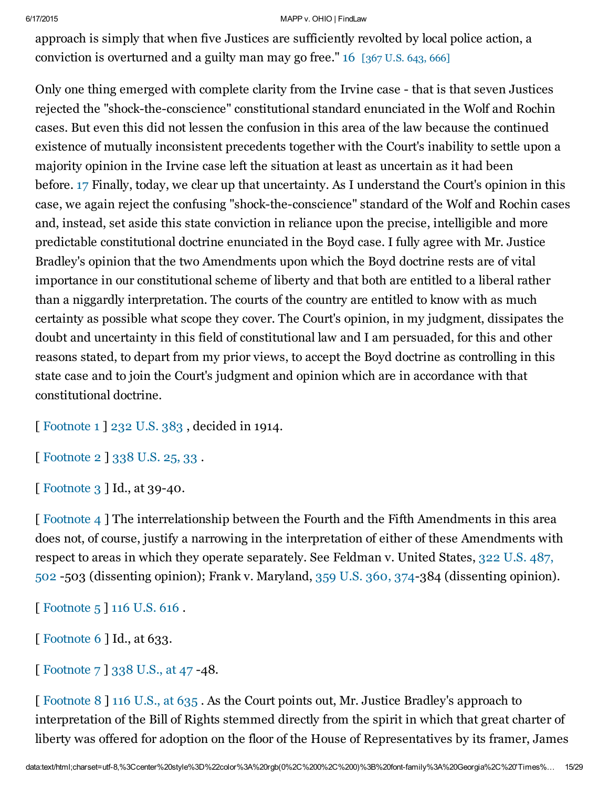approach is simply that when five Justices are sufficiently revolted by local police action, a conviction is overturned and a guilty man may go free." [16](http://caselaw.findlaw.com/us-supreme-court/367/643.html#f16) [367 U.S. 643, 666]

Only one thing emerged with complete clarity from the Irvine case - that is that seven Justices rejected the "shock-the-conscience" constitutional standard enunciated in the Wolf and Rochin cases. But even this did not lessen the confusion in this area of the law because the continued existence of mutually inconsistent precedents together with the Court's inability to settle upon a majority opinion in the Irvine case left the situation at least as uncertain as it had been before. [17](http://caselaw.findlaw.com/us-supreme-court/367/643.html#f17) Finally, today, we clear up that uncertainty. As I understand the Court's opinion in this case, we again reject the confusing "shock-the-conscience" standard of the Wolf and Rochin cases and, instead, set aside this state conviction in reliance upon the precise, intelligible and more predictable constitutional doctrine enunciated in the Boyd case. I fully agree with Mr. Justice Bradley's opinion that the two Amendments upon which the Boyd doctrine rests are of vital importance in our constitutional scheme of liberty and that both are entitled to a liberal rather than a niggardly interpretation. The courts of the country are entitled to know with as much certainty as possible what scope they cover. The Court's opinion, in my judgment, dissipates the doubt and uncertainty in this field of constitutional law and I am persuaded, for this and other reasons stated, to depart from my prior views, to accept the Boyd doctrine as controlling in this state case and to join the Court's judgment and opinion which are in accordance with that constitutional doctrine.

[ [Footnote](http://caselaw.findlaw.com/us-supreme-court/367/643.html#t1) 1 ] 232 [U.S.](http://caselaw.findlaw.com/us-supreme-court/232/383.html) 383, decided in 1914.

[ [Footnote](http://caselaw.findlaw.com/us-supreme-court/367/643.html#t2) 2 ] 338 [U.S.](http://caselaw.findlaw.com/us-supreme-court/338/25.html#33) 25, 33.

[ [Footnote](http://caselaw.findlaw.com/us-supreme-court/367/643.html#t3)  $3$  ] Id., at 39-40.

[ [Footnote](http://caselaw.findlaw.com/us-supreme-court/367/643.html#t4) 4 ] The interrelationship between the Fourth and the Fifth Amendments in this area does not, of course, justify a narrowing in the interpretation of either of these Amendments with respect to areas in which they operate [separately.](http://caselaw.findlaw.com/us-supreme-court/322/487.html#502) See Feldman v. United States, 322 U.S. 487, 502 503 (dissenting opinion); Frank v. Maryland, 359 U.S. [360,](http://caselaw.findlaw.com/us-supreme-court/359/360.html#374) 374384 (dissenting opinion).

```
[ Footnote 5 ] 116 U.S. 616 .
```
[ [Footnote](http://caselaw.findlaw.com/us-supreme-court/367/643.html#ttt6) 6 ] Id., at 633.

[ [Footnote](http://caselaw.findlaw.com/us-supreme-court/367/643.html#ttt7) 7 ] 338 [U.S.,](http://caselaw.findlaw.com/us-supreme-court/338/25.html#47) at 47 - 48.

[ [Footnote](http://caselaw.findlaw.com/us-supreme-court/367/643.html#ttt8) 8 ] 116 [U.S.,](http://caselaw.findlaw.com/us-supreme-court/116/616.html#635) at 635. As the Court points out, Mr. Justice Bradley's approach to interpretation of the Bill of Rights stemmed directly from the spirit in which that great charter of liberty was offered for adoption on the floor of the House of Representatives by its framer, James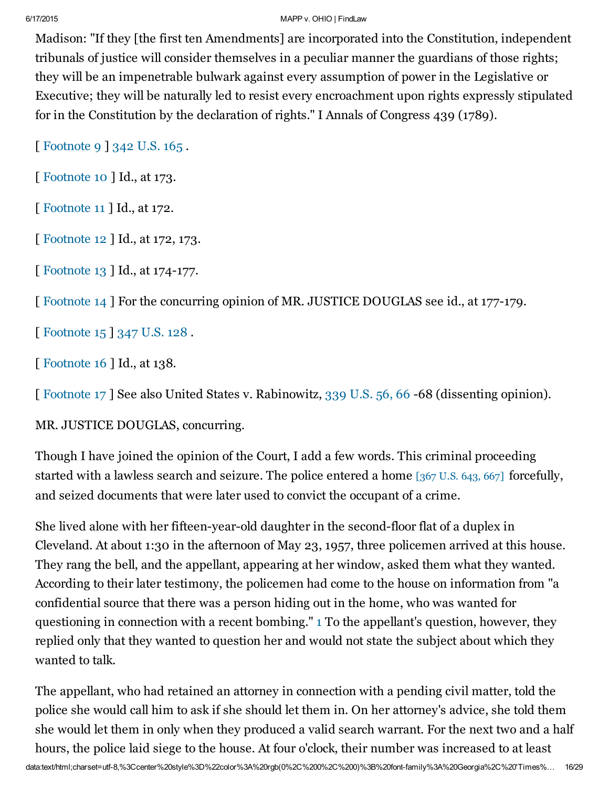Madison: "If they [the first ten Amendments] are incorporated into the Constitution, independent tribunals of justice will consider themselves in a peculiar manner the guardians of those rights; they will be an impenetrable bulwark against every assumption of power in the Legislative or Executive; they will be naturally led to resist every encroachment upon rights expressly stipulated for in the Constitution by the declaration of rights." I Annals of Congress 439 (1789).

[ [Footnote](http://caselaw.findlaw.com/us-supreme-court/367/643.html#ttt9) 9 ] 342 [U.S.](http://caselaw.findlaw.com/us-supreme-court/342/165.html) 165.

[ [Footnote](http://caselaw.findlaw.com/us-supreme-court/367/643.html#ttt10) 10 ] Id., at 173.

[ [Footnote](http://caselaw.findlaw.com/us-supreme-court/367/643.html#ttt11) 11 ] Id., at 172.

[ [Footnote](http://caselaw.findlaw.com/us-supreme-court/367/643.html#t12) 12 ] Id., at 172, 173.

[ [Footnote](http://caselaw.findlaw.com/us-supreme-court/367/643.html#t13) 13 ] Id., at 174-177.

[ [Footnote](http://caselaw.findlaw.com/us-supreme-court/367/643.html#t14) 14 ] For the concurring opinion of MR. JUSTICE DOUGLAS see id., at 177-179.

[ [Footnote](http://caselaw.findlaw.com/us-supreme-court/367/643.html#t15) 15 ] 347 [U.S.](http://caselaw.findlaw.com/us-supreme-court/347/128.html) 128.

[ [Footnote](http://caselaw.findlaw.com/us-supreme-court/367/643.html#t16) 16 ] Id., at 138.

[ [Footnote](http://caselaw.findlaw.com/us-supreme-court/367/643.html#t17) 17 ] See also United States v. Rabinowitz, 339 [U.S.](http://caselaw.findlaw.com/us-supreme-court/339/56.html#66) 56, 66 -68 (dissenting opinion).

MR. JUSTICE DOUGLAS, concurring.

Though I have joined the opinion of the Court, I add a few words. This criminal proceeding started with a lawless search and seizure. The police entered a home [367 U.S. 643, 667] forcefully, and seized documents that were later used to convict the occupant of a crime.

She lived alone with her fifteen-year-old daughter in the second-floor flat of a duplex in Cleveland. At about 1:30 in the afternoon of May 23, 1957, three policemen arrived at this house. They rang the bell, and the appellant, appearing at her window, asked them what they wanted. According to their later testimony, the policemen had come to the house on information from "a confidential source that there was a person hiding out in the home, who was wanted for questioning in connection with a recent bombing." [1](http://caselaw.findlaw.com/us-supreme-court/367/643.html#fff1) To the appellant's question, however, they replied only that they wanted to question her and would not state the subject about which they wanted to talk.

The appellant, who had retained an attorney in connection with a pending civil matter, told the police she would call him to ask if she should let them in. On her attorney's advice, she told them she would let them in only when they produced a valid search warrant. For the next two and a half hours, the police laid siege to the house. At four o'clock, their number was increased to at least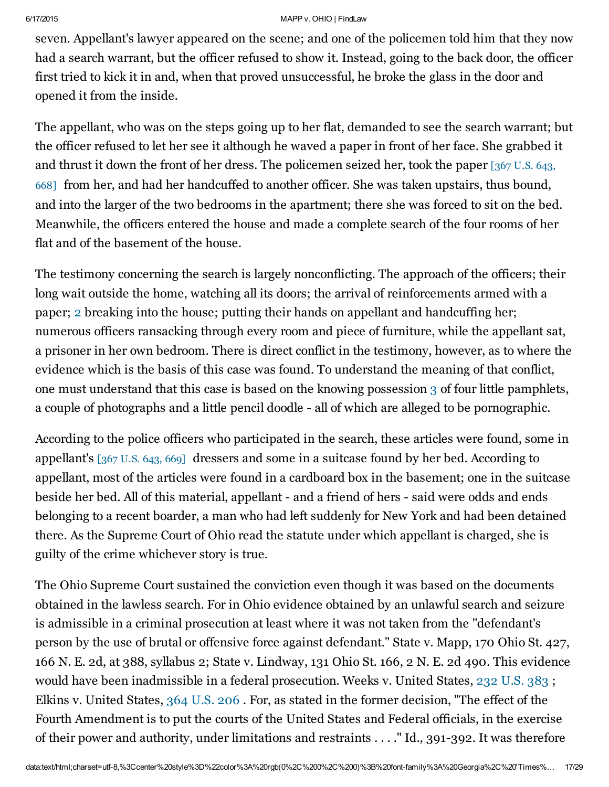seven. Appellant's lawyer appeared on the scene; and one of the policemen told him that they now had a search warrant, but the officer refused to show it. Instead, going to the back door, the officer first tried to kick it in and, when that proved unsuccessful, he broke the glass in the door and opened it from the inside.

The appellant, who was on the steps going up to her flat, demanded to see the search warrant; but the officer refused to let her see it although he waved a paper in front of her face. She grabbed it and thrust it down the front of her dress. The policemen seized her, took the paper [367 U.S. 643, 668] from her, and had her handcuffed to another officer. She was taken upstairs, thus bound, and into the larger of the two bedrooms in the apartment; there she was forced to sit on the bed. Meanwhile, the officers entered the house and made a complete search of the four rooms of her flat and of the basement of the house.

The testimony concerning the search is largely nonconflicting. The approach of the officers; their long wait outside the home, watching all its doors; the arrival of reinforcements armed with a paper; [2](http://caselaw.findlaw.com/us-supreme-court/367/643.html#fff2) breaking into the house; putting their hands on appellant and handcuffing her; numerous officers ransacking through every room and piece of furniture, while the appellant sat, a prisoner in her own bedroom. There is direct conflict in the testimony, however, as to where the evidence which is the basis of this case was found. To understand the meaning of that conflict, one must understand that this case is based on the knowing possession [3](http://caselaw.findlaw.com/us-supreme-court/367/643.html#fff3) of four little pamphlets, a couple of photographs and a little pencil doodle - all of which are alleged to be pornographic.

According to the police officers who participated in the search, these articles were found, some in appellant's [367 U.S. 643, 669] dressers and some in a suitcase found by her bed. According to appellant, most of the articles were found in a cardboard box in the basement; one in the suitcase beside her bed. All of this material, appellant - and a friend of hers - said were odds and ends belonging to a recent boarder, a man who had left suddenly for New York and had been detained there. As the Supreme Court of Ohio read the statute under which appellant is charged, she is guilty of the crime whichever story is true.

The Ohio Supreme Court sustained the conviction even though it was based on the documents obtained in the lawless search. For in Ohio evidence obtained by an unlawful search and seizure is admissible in a criminal prosecution at least where it was not taken from the "defendant's person by the use of brutal or offensive force against defendant." State v. Mapp, 170 Ohio St. 427, 166 N. E. 2d, at 388, syllabus 2; State v. Lindway, 131 Ohio St. 166, 2 N. E. 2d 490. This evidence would have been inadmissible in a federal prosecution. Weeks v. United States, 232 [U.S.](http://caselaw.findlaw.com/us-supreme-court/232/383.html) 383 ; Elkins v. United States, 364 [U.S.](http://caselaw.findlaw.com/us-supreme-court/364/206.html) 206 . For, as stated in the former decision, "The effect of the Fourth Amendment is to put the courts of the United States and Federal officials, in the exercise of their power and authority, under limitations and restraints  $\dots$ ." Id., 391-392. It was therefore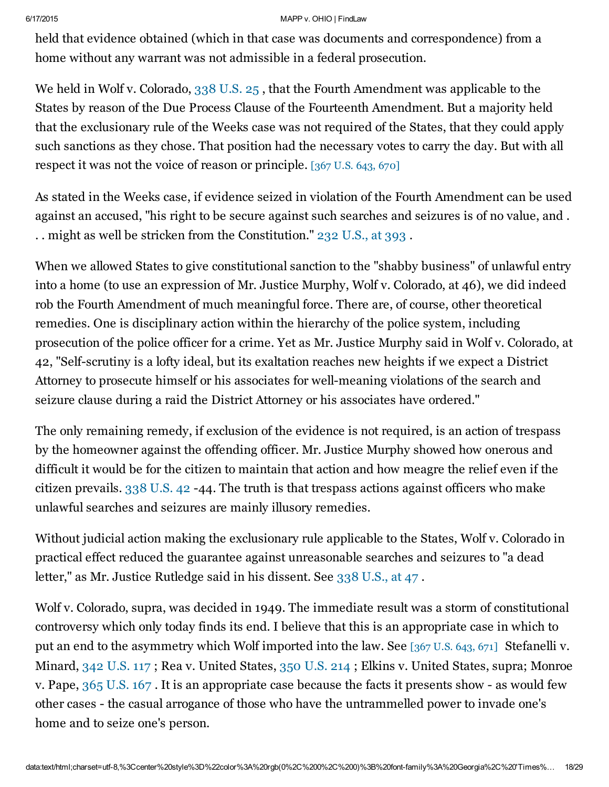held that evidence obtained (which in that case was documents and correspondence) from a home without any warrant was not admissible in a federal prosecution.

We held in Wolf v. Colorado, 338 [U.S.](http://caselaw.findlaw.com/us-supreme-court/338/25.html) 25, that the Fourth Amendment was applicable to the States by reason of the Due Process Clause of the Fourteenth Amendment. But a majority held that the exclusionary rule of the Weeks case was not required of the States, that they could apply such sanctions as they chose. That position had the necessary votes to carry the day. But with all respect it was not the voice of reason or principle. [367 U.S. 643, 670]

As stated in the Weeks case, if evidence seized in violation of the Fourth Amendment can be used against an accused, "his right to be secure against such searches and seizures is of no value, and . . . might as well be stricken from the Constitution." 232 [U.S.,](http://caselaw.findlaw.com/us-supreme-court/232/383.html#393) at 393 .

When we allowed States to give constitutional sanction to the "shabby business" of unlawful entry into a home (to use an expression of Mr. Justice Murphy, Wolf v. Colorado, at 46), we did indeed rob the Fourth Amendment of much meaningful force. There are, of course, other theoretical remedies. One is disciplinary action within the hierarchy of the police system, including prosecution of the police officer for a crime. Yet as Mr. Justice Murphy said in Wolf v. Colorado, at 42, "Self-scrutiny is a lofty ideal, but its exaltation reaches new heights if we expect a District Attorney to prosecute himself or his associates for well-meaning violations of the search and seizure clause during a raid the District Attorney or his associates have ordered."

The only remaining remedy, if exclusion of the evidence is not required, is an action of trespass by the homeowner against the offending officer. Mr. Justice Murphy showed how onerous and difficult it would be for the citizen to maintain that action and how meagre the relief even if the citizen prevails. 338 [U.S.](http://caselaw.findlaw.com/us-supreme-court/338/42.html) 42 44. The truth is that trespass actions against officers who make unlawful searches and seizures are mainly illusory remedies.

Without judicial action making the exclusionary rule applicable to the States, Wolf v. Colorado in practical effect reduced the guarantee against unreasonable searches and seizures to "a dead letter," as Mr. Justice Rutledge said in his dissent. See 338 [U.S.,](http://caselaw.findlaw.com/us-supreme-court/338/25.html#47) at 47 .

Wolf v. Colorado, supra, was decided in 1949. The immediate result was a storm of constitutional controversy which only today finds its end. I believe that this is an appropriate case in which to put an end to the asymmetry which Wolf imported into the law. See [367 U.S. 643, 671] Stefanelli v. Minard, 342 [U.S.](http://caselaw.findlaw.com/us-supreme-court/342/117.html) 117 ; Rea v. United States, 350 [U.S.](http://caselaw.findlaw.com/us-supreme-court/350/214.html) 214 ; Elkins v. United States, supra; Monroe v. Pape, 365 [U.S.](http://caselaw.findlaw.com/us-supreme-court/365/167.html) 167. It is an appropriate case because the facts it presents show - as would few other cases - the casual arrogance of those who have the untrammelled power to invade one's home and to seize one's person.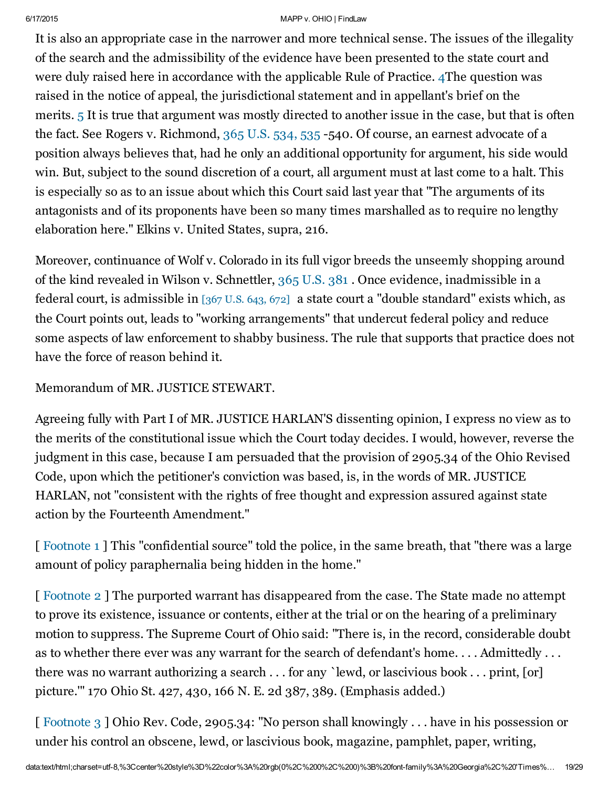It is also an appropriate case in the narrower and more technical sense. The issues of the illegality of the search and the admissibility of the evidence have been presented to the state court and were duly raised here in accordance with the applicable Rule of Practice. [4T](http://caselaw.findlaw.com/us-supreme-court/367/643.html#fff4)he question was raised in the notice of appeal, the jurisdictional statement and in appellant's brief on the merits. [5](http://caselaw.findlaw.com/us-supreme-court/367/643.html#fff5) It is true that argument was mostly directed to another issue in the case, but that is often the fact. See Rogers v. Richmond,  $365$  U.S.  $534$ ,  $535$  -540. Of course, an earnest advocate of a position always believes that, had he only an additional opportunity for argument, his side would win. But, subject to the sound discretion of a court, all argument must at last come to a halt. This is especially so as to an issue about which this Court said last year that "The arguments of its antagonists and of its proponents have been so many times marshalled as to require no lengthy elaboration here." Elkins v. United States, supra, 216.

Moreover, continuance of Wolf v. Colorado in its full vigor breeds the unseemly shopping around of the kind revealed in Wilson v. Schnettler, 365 [U.S.](http://caselaw.findlaw.com/us-supreme-court/365/381.html) 381 . Once evidence, inadmissible in a federal court, is admissible in [367 U.S. 643, 672] a state court a "double standard" exists which, as the Court points out, leads to "working arrangements" that undercut federal policy and reduce some aspects of law enforcement to shabby business. The rule that supports that practice does not have the force of reason behind it.

Memorandum of MR. JUSTICE STEWART.

Agreeing fully with Part I of MR. JUSTICE HARLAN'S dissenting opinion, I express no view as to the merits of the constitutional issue which the Court today decides. I would, however, reverse the judgment in this case, because I am persuaded that the provision of 2905.34 of the Ohio Revised Code, upon which the petitioner's conviction was based, is, in the words of MR. JUSTICE HARLAN, not "consistent with the rights of free thought and expression assured against state action by the Fourteenth Amendment."

[ [Footnote](http://caselaw.findlaw.com/us-supreme-court/367/643.html#ttt1) 1 ] This "confidential source" told the police, in the same breath, that "there was a large amount of policy paraphernalia being hidden in the home."

[ [Footnote](http://caselaw.findlaw.com/us-supreme-court/367/643.html#ttt2) 2 ] The purported warrant has disappeared from the case. The State made no attempt to prove its existence, issuance or contents, either at the trial or on the hearing of a preliminary motion to suppress. The Supreme Court of Ohio said: "There is, in the record, considerable doubt as to whether there ever was any warrant for the search of defendant's home. . . . Admittedly . . . there was no warrant authorizing a search . . . for any `lewd, or lascivious book . . . print, [or] picture.'" 170 Ohio St. 427, 430, 166 N. E. 2d 387, 389. (Emphasis added.)

[ [Footnote](http://caselaw.findlaw.com/us-supreme-court/367/643.html#ttt3) 3 ] Ohio Rev. Code, 2905.34: "No person shall knowingly . . . have in his possession or under his control an obscene, lewd, or lascivious book, magazine, pamphlet, paper, writing,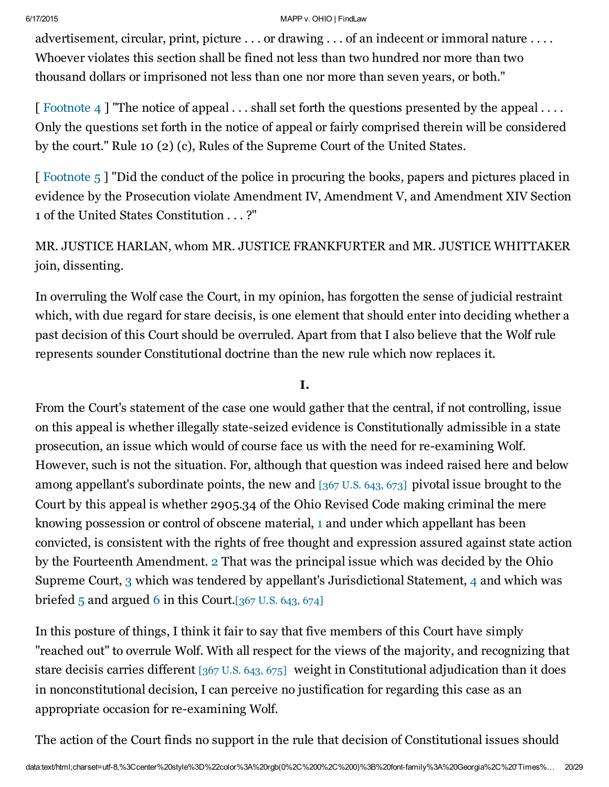advertisement, circular, print, picture ... or drawing ... of an indecent or immoral nature .... Whoever violates this section shall be fined not less than two hundred nor more than two thousand dollars or imprisoned not less than one nor more than seven years, or both."

[ [Footnote](http://caselaw.findlaw.com/us-supreme-court/367/643.html#ttt4) 4 ] "The notice of appeal  $\dots$  shall set forth the questions presented by the appeal  $\dots$ Only the questions set forth in the notice of appeal or fairly comprised therein will be considered by the court." Rule 10 (2) (c), Rules of the Supreme Court of the United States.

[ [Footnote](http://caselaw.findlaw.com/us-supreme-court/367/643.html#ttt5) 5 ] "Did the conduct of the police in procuring the books, papers and pictures placed in evidence by the Prosecution violate Amendment IV, Amendment V, and Amendment XIV Section 1 of the United States Constitution . . . ?"

MR. JUSTICE HARLAN, whom MR. JUSTICE FRANKFURTER and MR. JUSTICE WHITTAKER join, dissenting.

In overruling the Wolf case the Court, in my opinion, has forgotten the sense of judicial restraint which, with due regard for stare decisis, is one element that should enter into deciding whether a past decision of this Court should be overruled. Apart from that I also believe that the Wolf rule represents sounder Constitutional doctrine than the new rule which now replaces it.

# I.

From the Court's statement of the case one would gather that the central, if not controlling, issue on this appeal is whether illegally state-seized evidence is Constitutionally admissible in a state prosecution, an issue which would of course face us with the need for re-examining Wolf. However, such is not the situation. For, although that question was indeed raised here and below among appellant's subordinate points, the new and [367 U.S. 643, 673] pivotal issue brought to the Court by this appeal is whether 2905.34 of the Ohio Revised Code making criminal the mere knowing possession or control of obscene material, [1](http://caselaw.findlaw.com/us-supreme-court/367/643.html#ff1) and under which appellant has been convicted, is consistent with the rights of free thought and expression assured against state action by the Fourteenth Amendment. [2](http://caselaw.findlaw.com/us-supreme-court/367/643.html#ff2) That was the principal issue which was decided by the Ohio Supreme Court, [3](http://caselaw.findlaw.com/us-supreme-court/367/643.html#ff3) which was tendered by appellant's Jurisdictional Statement, [4](http://caselaw.findlaw.com/us-supreme-court/367/643.html#ff4) and which was briefed [5](http://caselaw.findlaw.com/us-supreme-court/367/643.html#ff5) and argued [6](http://caselaw.findlaw.com/us-supreme-court/367/643.html#ff6) in this Court.[367 U.S. 643, 674]

In this posture of things, I think it fair to say that five members of this Court have simply "reached out" to overrule Wolf. With all respect for the views of the majority, and recognizing that stare decisis carries different [367 U.S. 643, 675] weight in Constitutional adjudication than it does in nonconstitutional decision, I can perceive no justification for regarding this case as an appropriate occasion for re-examining Wolf.

The action of the Court finds no support in the rule that decision of Constitutional issues should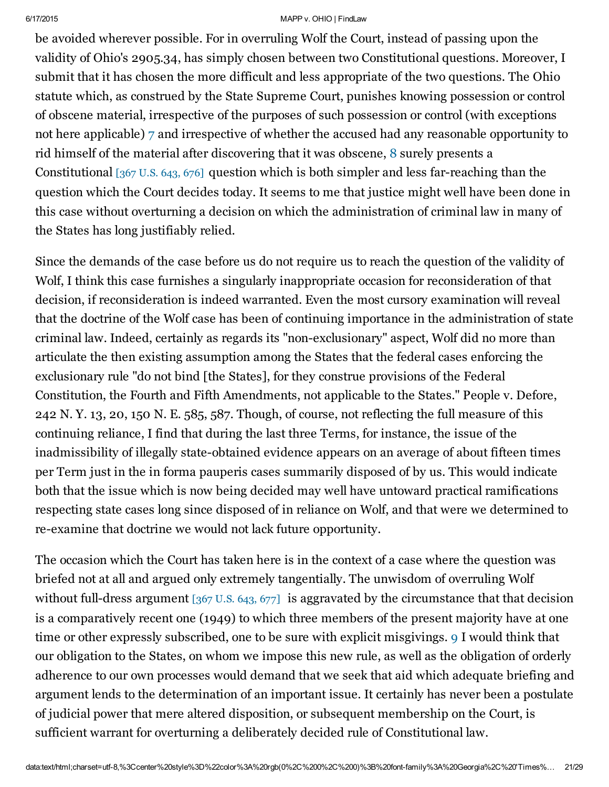be avoided wherever possible. For in overruling Wolf the Court, instead of passing upon the validity of Ohio's 2905.34, has simply chosen between two Constitutional questions. Moreover, I submit that it has chosen the more difficult and less appropriate of the two questions. The Ohio statute which, as construed by the State Supreme Court, punishes knowing possession or control of obscene material, irrespective of the purposes of such possession or control (with exceptions not here applicable) [7](http://caselaw.findlaw.com/us-supreme-court/367/643.html#ff7) and irrespective of whether the accused had any reasonable opportunity to rid himself of the material after discovering that it was obscene, [8](http://caselaw.findlaw.com/us-supreme-court/367/643.html#ff8) surely presents a Constitutional [367 U.S. 643, 676] question which is both simpler and less far-reaching than the question which the Court decides today. It seems to me that justice might well have been done in this case without overturning a decision on which the administration of criminal law in many of the States has long justifiably relied.

Since the demands of the case before us do not require us to reach the question of the validity of Wolf, I think this case furnishes a singularly inappropriate occasion for reconsideration of that decision, if reconsideration is indeed warranted. Even the most cursory examination will reveal that the doctrine of the Wolf case has been of continuing importance in the administration of state criminal law. Indeed, certainly as regards its "non-exclusionary" aspect, Wolf did no more than articulate the then existing assumption among the States that the federal cases enforcing the exclusionary rule "do not bind [the States], for they construe provisions of the Federal Constitution, the Fourth and Fifth Amendments, not applicable to the States." People v. Defore, 242 N. Y. 13, 20, 150 N. E. 585, 587. Though, of course, not reflecting the full measure of this continuing reliance, I find that during the last three Terms, for instance, the issue of the inadmissibility of illegally state-obtained evidence appears on an average of about fifteen times per Term just in the in forma pauperis cases summarily disposed of by us. This would indicate both that the issue which is now being decided may well have untoward practical ramifications respecting state cases long since disposed of in reliance on Wolf, and that were we determined to re-examine that doctrine we would not lack future opportunity.

The occasion which the Court has taken here is in the context of a case where the question was briefed not at all and argued only extremely tangentially. The unwisdom of overruling Wolf without full-dress argument  $[367 \text{ U.S. } 643, 677]$  is aggravated by the circumstance that that decision is a comparatively recent one (1949) to which three members of the present majority have at one time or other expressly subscribed, one to be sure with explicit misgivings. [9](http://caselaw.findlaw.com/us-supreme-court/367/643.html#ff9) I would think that our obligation to the States, on whom we impose this new rule, as well as the obligation of orderly adherence to our own processes would demand that we seek that aid which adequate briefing and argument lends to the determination of an important issue. It certainly has never been a postulate of judicial power that mere altered disposition, or subsequent membership on the Court, is sufficient warrant for overturning a deliberately decided rule of Constitutional law.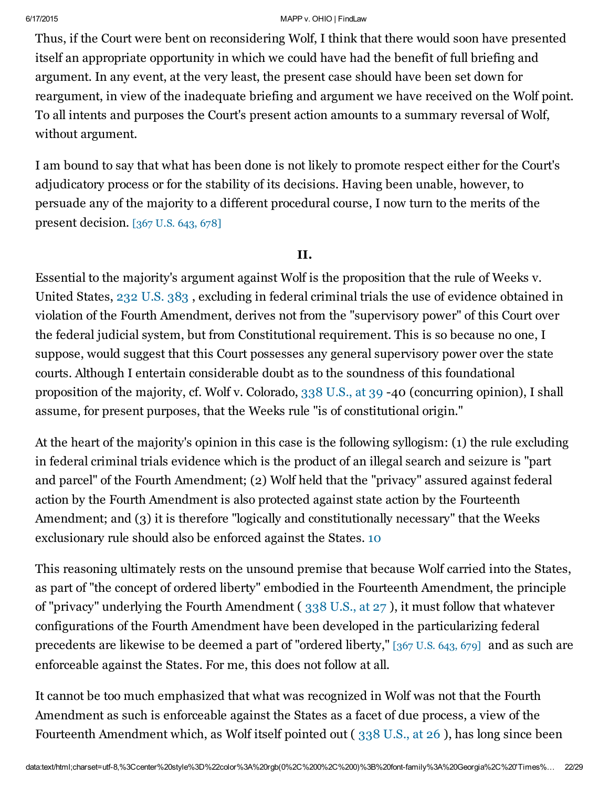Thus, if the Court were bent on reconsidering Wolf, I think that there would soon have presented itself an appropriate opportunity in which we could have had the benefit of full briefing and argument. In any event, at the very least, the present case should have been set down for reargument, in view of the inadequate briefing and argument we have received on the Wolf point. To all intents and purposes the Court's present action amounts to a summary reversal of Wolf, without argument.

I am bound to say that what has been done is not likely to promote respect either for the Court's adjudicatory process or for the stability of its decisions. Having been unable, however, to persuade any of the majority to a different procedural course, I now turn to the merits of the present decision. [367 U.S. 643, 678]

# II.

Essential to the majority's argument against Wolf is the proposition that the rule of Weeks v. United States, 232 [U.S.](http://caselaw.findlaw.com/us-supreme-court/232/383.html) 383 , excluding in federal criminal trials the use of evidence obtained in violation of the Fourth Amendment, derives not from the "supervisory power" of this Court over the federal judicial system, but from Constitutional requirement. This is so because no one, I suppose, would suggest that this Court possesses any general supervisory power over the state courts. Although I entertain considerable doubt as to the soundness of this foundational proposition of the majority, cf. Wolf v. Colorado, 338 [U.S.,](http://caselaw.findlaw.com/us-supreme-court/338/25.html#39) at 39 40 (concurring opinion), I shall assume, for present purposes, that the Weeks rule "is of constitutional origin."

At the heart of the majority's opinion in this case is the following syllogism: (1) the rule excluding in federal criminal trials evidence which is the product of an illegal search and seizure is "part and parcel" of the Fourth Amendment; (2) Wolf held that the "privacy" assured against federal action by the Fourth Amendment is also protected against state action by the Fourteenth Amendment; and (3) it is therefore "logically and constitutionally necessary" that the Weeks exclusionary rule should also be enforced against the States. [10](http://caselaw.findlaw.com/us-supreme-court/367/643.html#ff10)

This reasoning ultimately rests on the unsound premise that because Wolf carried into the States, as part of "the concept of ordered liberty" embodied in the Fourteenth Amendment, the principle of "privacy" underlying the Fourth Amendment ( 338 [U.S.,](http://caselaw.findlaw.com/us-supreme-court/338/25.html#27) at 27 ), it must follow that whatever configurations of the Fourth Amendment have been developed in the particularizing federal precedents are likewise to be deemed a part of "ordered liberty," [367 U.S. 643, 679] and as such are enforceable against the States. For me, this does not follow at all.

It cannot be too much emphasized that what was recognized in Wolf was not that the Fourth Amendment as such is enforceable against the States as a facet of due process, a view of the Fourteenth Amendment which, as Wolf itself pointed out ( 338 [U.S.,](http://caselaw.findlaw.com/us-supreme-court/338/25.html#26) at 26 ), has long since been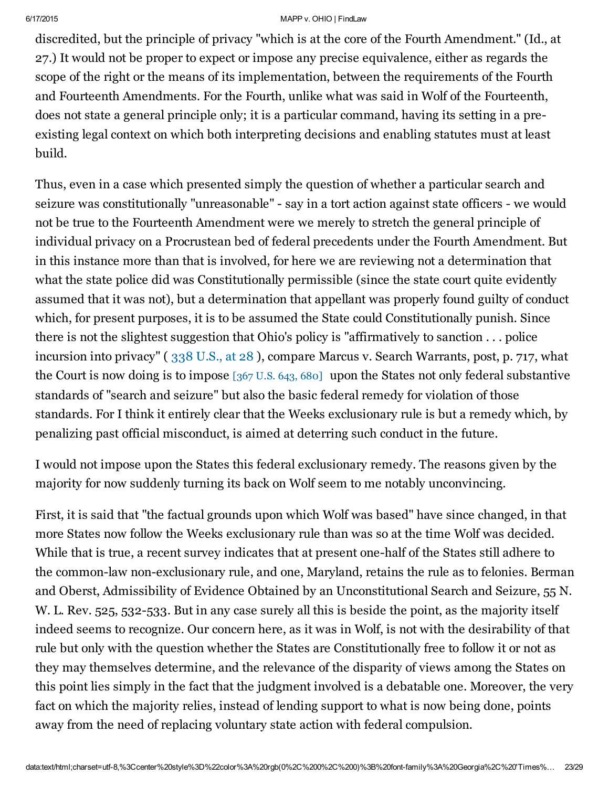discredited, but the principle of privacy "which is at the core of the Fourth Amendment." (Id., at 27.) It would not be proper to expect or impose any precise equivalence, either as regards the scope of the right or the means of its implementation, between the requirements of the Fourth and Fourteenth Amendments. For the Fourth, unlike what was said in Wolf of the Fourteenth, does not state a general principle only; it is a particular command, having its setting in a preexisting legal context on which both interpreting decisions and enabling statutes must at least build.

Thus, even in a case which presented simply the question of whether a particular search and seizure was constitutionally "unreasonable" - say in a tort action against state officers - we would not be true to the Fourteenth Amendment were we merely to stretch the general principle of individual privacy on a Procrustean bed of federal precedents under the Fourth Amendment. But in this instance more than that is involved, for here we are reviewing not a determination that what the state police did was Constitutionally permissible (since the state court quite evidently assumed that it was not), but a determination that appellant was properly found guilty of conduct which, for present purposes, it is to be assumed the State could Constitutionally punish. Since there is not the slightest suggestion that Ohio's policy is "affirmatively to sanction . . . police incursion into privacy" ( 338 [U.S.,](http://caselaw.findlaw.com/us-supreme-court/338/25.html#28) at 28 ), compare Marcus v. Search Warrants, post, p. 717, what the Court is now doing is to impose [367 U.S. 643, 680] upon the States not only federal substantive standards of "search and seizure" but also the basic federal remedy for violation of those standards. For I think it entirely clear that the Weeks exclusionary rule is but a remedy which, by penalizing past official misconduct, is aimed at deterring such conduct in the future.

I would not impose upon the States this federal exclusionary remedy. The reasons given by the majority for now suddenly turning its back on Wolf seem to me notably unconvincing.

First, it is said that "the factual grounds upon which Wolf was based" have since changed, in that more States now follow the Weeks exclusionary rule than was so at the time Wolf was decided. While that is true, a recent survey indicates that at present one-half of the States still adhere to the common-law non-exclusionary rule, and one, Maryland, retains the rule as to felonies. Berman and Oberst, Admissibility of Evidence Obtained by an Unconstitutional Search and Seizure, 55 N. W. L. Rev. 525, 532-533. But in any case surely all this is beside the point, as the majority itself indeed seems to recognize. Our concern here, as it was in Wolf, is not with the desirability of that rule but only with the question whether the States are Constitutionally free to follow it or not as they may themselves determine, and the relevance of the disparity of views among the States on this point lies simply in the fact that the judgment involved is a debatable one. Moreover, the very fact on which the majority relies, instead of lending support to what is now being done, points away from the need of replacing voluntary state action with federal compulsion.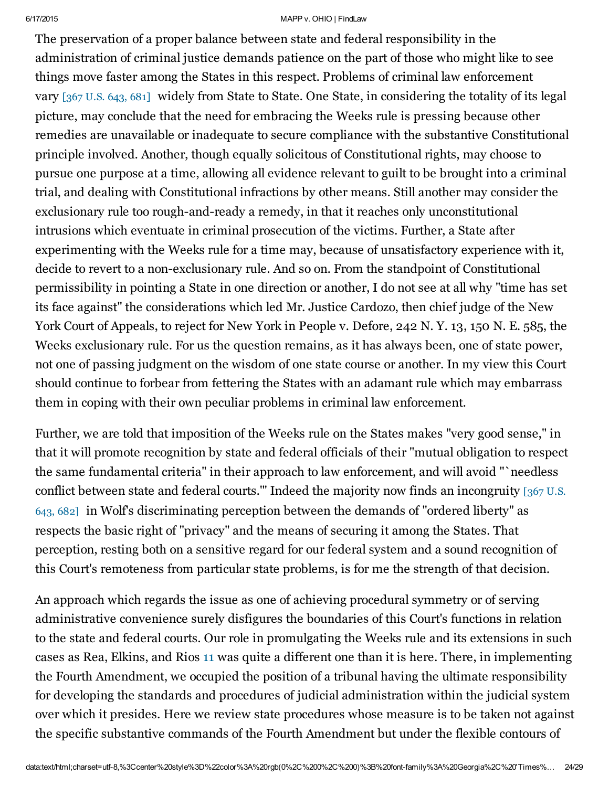The preservation of a proper balance between state and federal responsibility in the administration of criminal justice demands patience on the part of those who might like to see things move faster among the States in this respect. Problems of criminal law enforcement vary [367 U.S. 643, 681] widely from State to State. One State, in considering the totality of its legal picture, may conclude that the need for embracing the Weeks rule is pressing because other remedies are unavailable or inadequate to secure compliance with the substantive Constitutional principle involved. Another, though equally solicitous of Constitutional rights, may choose to pursue one purpose at a time, allowing all evidence relevant to guilt to be brought into a criminal trial, and dealing with Constitutional infractions by other means. Still another may consider the exclusionary rule too rough-and-ready a remedy, in that it reaches only unconstitutional intrusions which eventuate in criminal prosecution of the victims. Further, a State after experimenting with the Weeks rule for a time may, because of unsatisfactory experience with it, decide to revert to a non-exclusionary rule. And so on. From the standpoint of Constitutional permissibility in pointing a State in one direction or another, I do not see at all why "time has set its face against" the considerations which led Mr. Justice Cardozo, then chief judge of the New York Court of Appeals, to reject for New York in People v. Defore, 242 N. Y. 13, 150 N. E. 585, the Weeks exclusionary rule. For us the question remains, as it has always been, one of state power, not one of passing judgment on the wisdom of one state course or another. In my view this Court should continue to forbear from fettering the States with an adamant rule which may embarrass them in coping with their own peculiar problems in criminal law enforcement.

Further, we are told that imposition of the Weeks rule on the States makes "very good sense," in that it will promote recognition by state and federal officials of their "mutual obligation to respect the same fundamental criteria" in their approach to law enforcement, and will avoid "`needless conflict between state and federal courts.'" Indeed the majority now finds an incongruity [367 U.S. 643, 682] in Wolf's discriminating perception between the demands of "ordered liberty" as respects the basic right of "privacy" and the means of securing it among the States. That perception, resting both on a sensitive regard for our federal system and a sound recognition of this Court's remoteness from particular state problems, is for me the strength of that decision.

An approach which regards the issue as one of achieving procedural symmetry or of serving administrative convenience surely disfigures the boundaries of this Court's functions in relation to the state and federal courts. Our role in promulgating the Weeks rule and its extensions in such cases as Rea, Elkins, and Rios [11](http://caselaw.findlaw.com/us-supreme-court/367/643.html#ff11) was quite a different one than it is here. There, in implementing the Fourth Amendment, we occupied the position of a tribunal having the ultimate responsibility for developing the standards and procedures of judicial administration within the judicial system over which it presides. Here we review state procedures whose measure is to be taken not against the specific substantive commands of the Fourth Amendment but under the flexible contours of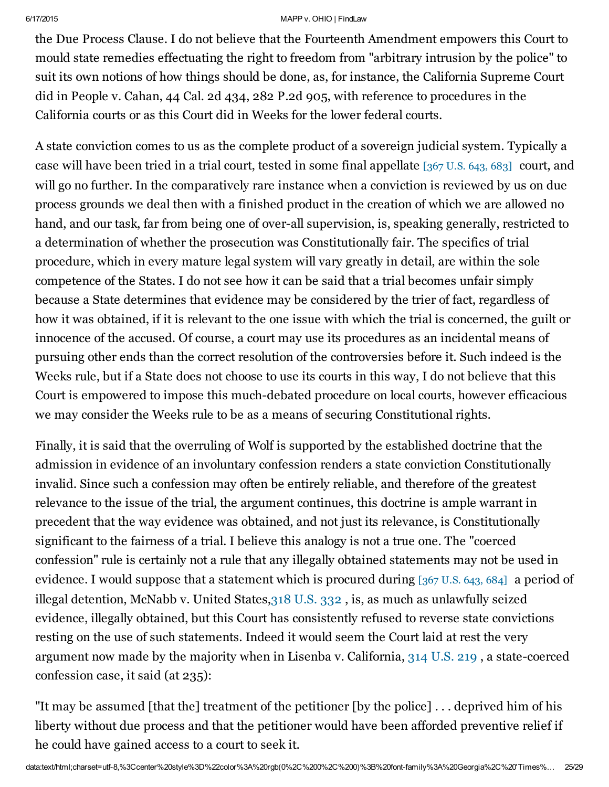the Due Process Clause. I do not believe that the Fourteenth Amendment empowers this Court to mould state remedies effectuating the right to freedom from "arbitrary intrusion by the police" to suit its own notions of how things should be done, as, for instance, the California Supreme Court did in People v. Cahan, 44 Cal. 2d 434, 282 P.2d 905, with reference to procedures in the California courts or as this Court did in Weeks for the lower federal courts.

A state conviction comes to us as the complete product of a sovereign judicial system. Typically a case will have been tried in a trial court, tested in some final appellate [367 U.S. 643, 683] court, and will go no further. In the comparatively rare instance when a conviction is reviewed by us on due process grounds we deal then with a finished product in the creation of which we are allowed no hand, and our task, far from being one of over-all supervision, is, speaking generally, restricted to a determination of whether the prosecution was Constitutionally fair. The specifics of trial procedure, which in every mature legal system will vary greatly in detail, are within the sole competence of the States. I do not see how it can be said that a trial becomes unfair simply because a State determines that evidence may be considered by the trier of fact, regardless of how it was obtained, if it is relevant to the one issue with which the trial is concerned, the guilt or innocence of the accused. Of course, a court may use its procedures as an incidental means of pursuing other ends than the correct resolution of the controversies before it. Such indeed is the Weeks rule, but if a State does not choose to use its courts in this way, I do not believe that this Court is empowered to impose this much-debated procedure on local courts, however efficacious we may consider the Weeks rule to be as a means of securing Constitutional rights.

Finally, it is said that the overruling of Wolf is supported by the established doctrine that the admission in evidence of an involuntary confession renders a state conviction Constitutionally invalid. Since such a confession may often be entirely reliable, and therefore of the greatest relevance to the issue of the trial, the argument continues, this doctrine is ample warrant in precedent that the way evidence was obtained, and not just its relevance, is Constitutionally significant to the fairness of a trial. I believe this analogy is not a true one. The "coerced confession" rule is certainly not a rule that any illegally obtained statements may not be used in evidence. I would suppose that a statement which is procured during [367 U.S. 643, 684] a period of illegal detention, McNabb v. United States,318 [U.S.](http://caselaw.findlaw.com/us-supreme-court/318/332.html) 332 , is, as much as unlawfully seized evidence, illegally obtained, but this Court has consistently refused to reverse state convictions resting on the use of such statements. Indeed it would seem the Court laid at rest the very argument now made by the majority when in Lisenba v. California,  $314$  [U.S.](http://caselaw.findlaw.com/us-supreme-court/314/219.html) 219, a state-coerced confession case, it said (at 235):

"It may be assumed [that the] treatment of the petitioner [by the police] . . . deprived him of his liberty without due process and that the petitioner would have been afforded preventive relief if he could have gained access to a court to seek it.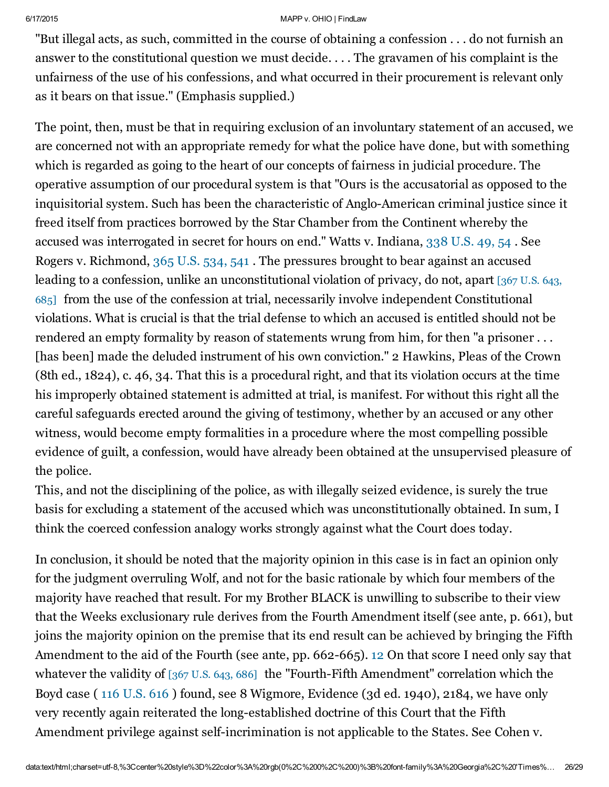"But illegal acts, as such, committed in the course of obtaining a confession . . . do not furnish an answer to the constitutional question we must decide. . . . The gravamen of his complaint is the unfairness of the use of his confessions, and what occurred in their procurement is relevant only as it bears on that issue." (Emphasis supplied.)

The point, then, must be that in requiring exclusion of an involuntary statement of an accused, we are concerned not with an appropriate remedy for what the police have done, but with something which is regarded as going to the heart of our concepts of fairness in judicial procedure. The operative assumption of our procedural system is that "Ours is the accusatorial as opposed to the inquisitorial system. Such has been the characteristic of Anglo-American criminal justice since it freed itself from practices borrowed by the Star Chamber from the Continent whereby the accused was interrogated in secret for hours on end." Watts v. Indiana, 338 [U.S.](http://caselaw.findlaw.com/us-supreme-court/338/49.html#54) 49, 54 . See Rogers v. Richmond, 365 U.S. [534,](http://caselaw.findlaw.com/us-supreme-court/365/534.html#541) 541 . The pressures brought to bear against an accused leading to a confession, unlike an unconstitutional violation of privacy, do not, apart [367 U.S. 643,] 685] from the use of the confession at trial, necessarily involve independent Constitutional violations. What is crucial is that the trial defense to which an accused is entitled should not be rendered an empty formality by reason of statements wrung from him, for then "a prisoner . . . [has been] made the deluded instrument of his own conviction." 2 Hawkins, Pleas of the Crown (8th ed., 1824), c. 46, 34. That this is a procedural right, and that its violation occurs at the time his improperly obtained statement is admitted at trial, is manifest. For without this right all the careful safeguards erected around the giving of testimony, whether by an accused or any other witness, would become empty formalities in a procedure where the most compelling possible evidence of guilt, a confession, would have already been obtained at the unsupervised pleasure of the police.

This, and not the disciplining of the police, as with illegally seized evidence, is surely the true basis for excluding a statement of the accused which was unconstitutionally obtained. In sum, I think the coerced confession analogy works strongly against what the Court does today.

In conclusion, it should be noted that the majority opinion in this case is in fact an opinion only for the judgment overruling Wolf, and not for the basic rationale by which four members of the majority have reached that result. For my Brother BLACK is unwilling to subscribe to their view that the Weeks exclusionary rule derives from the Fourth Amendment itself (see ante, p. 661), but joins the majority opinion on the premise that its end result can be achieved by bringing the Fifth Amendment to the aid of the Fourth (see ante, pp. 662-665). [12](http://caselaw.findlaw.com/us-supreme-court/367/643.html#ff12) On that score I need only say that whatever the validity of  $[367 \text{ U.S. } 643, 686]$  the "Fourth-Fifth Amendment" correlation which the Boyd case ( 116 [U.S.](http://caselaw.findlaw.com/us-supreme-court/116/616.html) 616 ) found, see 8 Wigmore, Evidence (3d ed. 1940), 2184, we have only very recently again reiterated the long-established doctrine of this Court that the Fifth Amendment privilege against self-incrimination is not applicable to the States. See Cohen v.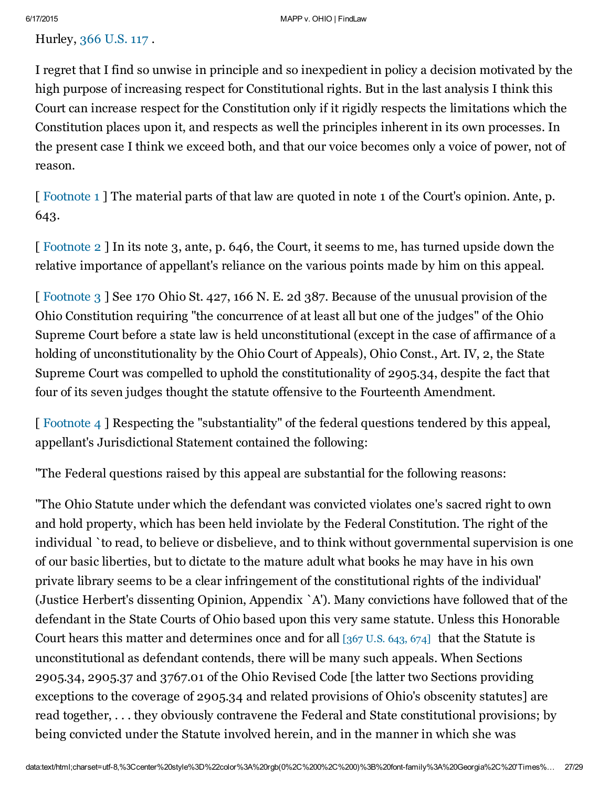# Hurley, 366 [U.S.](http://caselaw.findlaw.com/us-supreme-court/366/117.html) 117 .

I regret that I find so unwise in principle and so inexpedient in policy a decision motivated by the high purpose of increasing respect for Constitutional rights. But in the last analysis I think this Court can increase respect for the Constitution only if it rigidly respects the limitations which the Constitution places upon it, and respects as well the principles inherent in its own processes. In the present case I think we exceed both, and that our voice becomes only a voice of power, not of reason.

[ [Footnote](http://caselaw.findlaw.com/us-supreme-court/367/643.html#tt1) 1 ] The material parts of that law are quoted in note 1 of the Court's opinion. Ante, p. 643.

[ [Footnote](http://caselaw.findlaw.com/us-supreme-court/367/643.html#tt2) 2 ] In its note 3, ante, p. 646, the Court, it seems to me, has turned upside down the relative importance of appellant's reliance on the various points made by him on this appeal.

[[Footnote](http://caselaw.findlaw.com/us-supreme-court/367/643.html#tt3) 3] See 170 Ohio St. 427, 166 N. E. 2d 387. Because of the unusual provision of the Ohio Constitution requiring "the concurrence of at least all but one of the judges" of the Ohio Supreme Court before a state law is held unconstitutional (except in the case of affirmance of a holding of unconstitutionality by the Ohio Court of Appeals), Ohio Const., Art. IV, 2, the State Supreme Court was compelled to uphold the constitutionality of 2905.34, despite the fact that four of its seven judges thought the statute offensive to the Fourteenth Amendment.

[ [Footnote](http://caselaw.findlaw.com/us-supreme-court/367/643.html#tt4) 4 ] Respecting the "substantiality" of the federal questions tendered by this appeal, appellant's Jurisdictional Statement contained the following:

"The Federal questions raised by this appeal are substantial for the following reasons:

"The Ohio Statute under which the defendant was convicted violates one's sacred right to own and hold property, which has been held inviolate by the Federal Constitution. The right of the individual `to read, to believe or disbelieve, and to think without governmental supervision is one of our basic liberties, but to dictate to the mature adult what books he may have in his own private library seems to be a clear infringement of the constitutional rights of the individual' (Justice Herbert's dissenting Opinion, Appendix `A'). Many convictions have followed that of the defendant in the State Courts of Ohio based upon this very same statute. Unless this Honorable Court hears this matter and determines once and for all  $[367 \text{ U.S. } 643, 674]$  that the Statute is unconstitutional as defendant contends, there will be many such appeals. When Sections 2905.34, 2905.37 and 3767.01 of the Ohio Revised Code [the latter two Sections providing exceptions to the coverage of 2905.34 and related provisions of Ohio's obscenity statutes] are read together, . . . they obviously contravene the Federal and State constitutional provisions; by being convicted under the Statute involved herein, and in the manner in which she was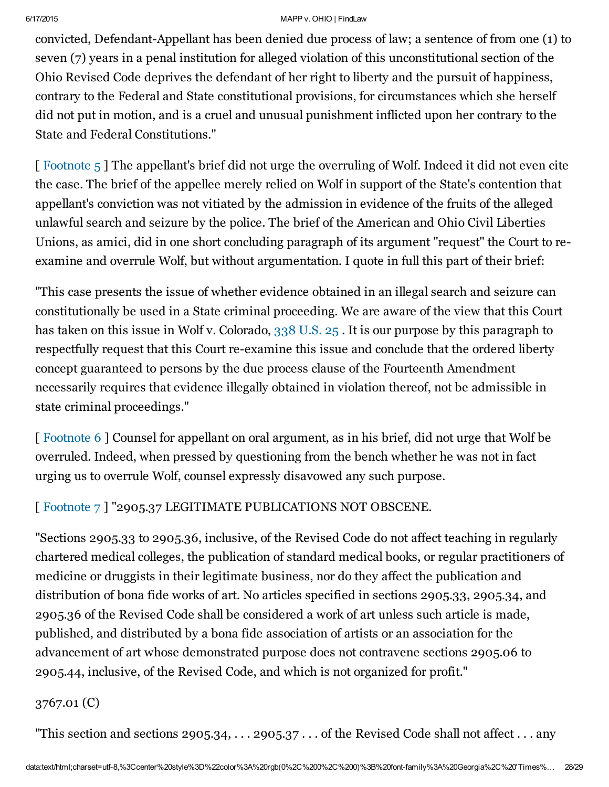convicted, Defendant-Appellant has been denied due process of law; a sentence of from one (1) to seven (7) years in a penal institution for alleged violation of this unconstitutional section of the Ohio Revised Code deprives the defendant of her right to liberty and the pursuit of happiness, contrary to the Federal and State constitutional provisions, for circumstances which she herself did not put in motion, and is a cruel and unusual punishment inflicted upon her contrary to the State and Federal Constitutions."

[ [Footnote](http://caselaw.findlaw.com/us-supreme-court/367/643.html#tt5) 5] The appellant's brief did not urge the overruling of Wolf. Indeed it did not even cite the case. The brief of the appellee merely relied on Wolf in support of the State's contention that appellant's conviction was not vitiated by the admission in evidence of the fruits of the alleged unlawful search and seizure by the police. The brief of the American and Ohio Civil Liberties Unions, as amici, did in one short concluding paragraph of its argument "request" the Court to reexamine and overrule Wolf, but without argumentation. I quote in full this part of their brief:

"This case presents the issue of whether evidence obtained in an illegal search and seizure can constitutionally be used in a State criminal proceeding. We are aware of the view that this Court has taken on this issue in Wolf v. Colorado, 338 [U.S.](http://caselaw.findlaw.com/us-supreme-court/338/25.html) 25 . It is our purpose by this paragraph to respectfully request that this Court re-examine this issue and conclude that the ordered liberty concept guaranteed to persons by the due process clause of the Fourteenth Amendment necessarily requires that evidence illegally obtained in violation thereof, not be admissible in state criminal proceedings."

[ [Footnote](http://caselaw.findlaw.com/us-supreme-court/367/643.html#tt6) 6 ] Counsel for appellant on oral argument, as in his brief, did not urge that Wolf be overruled. Indeed, when pressed by questioning from the bench whether he was not in fact urging us to overrule Wolf, counsel expressly disavowed any such purpose.

# [ [Footnote](http://caselaw.findlaw.com/us-supreme-court/367/643.html#tt7) 7 ] "2905.37 LEGITIMATE PUBLICATIONS NOT OBSCENE.

"Sections 2905.33 to 2905.36, inclusive, of the Revised Code do not affect teaching in regularly chartered medical colleges, the publication of standard medical books, or regular practitioners of medicine or druggists in their legitimate business, nor do they affect the publication and distribution of bona fide works of art. No articles specified in sections 2905.33, 2905.34, and 2905.36 of the Revised Code shall be considered a work of art unless such article is made, published, and distributed by a bona fide association of artists or an association for the advancement of art whose demonstrated purpose does not contravene sections 2905.06 to 2905.44, inclusive, of the Revised Code, and which is not organized for profit."

# 3767.01 (C)

"This section and sections 2905.34,  $\dots$  2905.37... of the Revised Code shall not affect  $\dots$  any